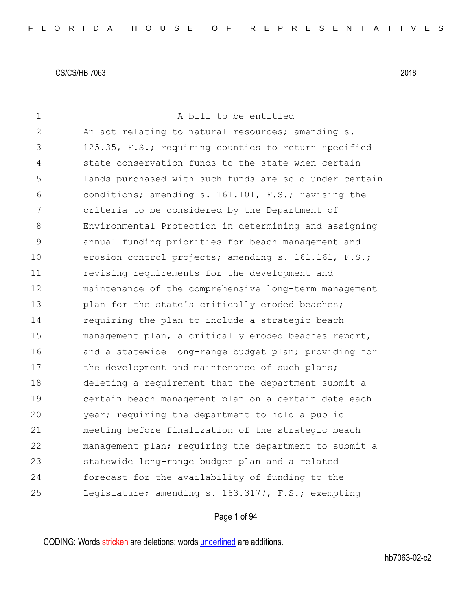| $\mathbf 1$    | A bill to be entitled                                  |
|----------------|--------------------------------------------------------|
| $\overline{2}$ | An act relating to natural resources; amending s.      |
| 3              | 125.35, F.S.; requiring counties to return specified   |
| 4              | state conservation funds to the state when certain     |
| 5              | lands purchased with such funds are sold under certain |
| 6              | conditions; amending s. 161.101, F.S.; revising the    |
| 7              | criteria to be considered by the Department of         |
| 8              | Environmental Protection in determining and assigning  |
| 9              | annual funding priorities for beach management and     |
| 10             | erosion control projects; amending s. 161.161, F.S.;   |
| 11             | revising requirements for the development and          |
| 12             | maintenance of the comprehensive long-term management  |
| 13             | plan for the state's critically eroded beaches;        |
| 14             | requiring the plan to include a strategic beach        |
| 15             | management plan, a critically eroded beaches report,   |
| 16             | and a statewide long-range budget plan; providing for  |
| 17             | the development and maintenance of such plans;         |
| 18             | deleting a requirement that the department submit a    |
| 19             | certain beach management plan on a certain date each   |
| 20             | year; requiring the department to hold a public        |
| 21             | meeting before finalization of the strategic beach     |
| 22             | management plan; requiring the department to submit a  |
| 23             | statewide long-range budget plan and a related         |
| 24             | forecast for the availability of funding to the        |
| 25             | Legislature; amending s. 163.3177, F.S.; exempting     |
|                |                                                        |

Page 1 of 94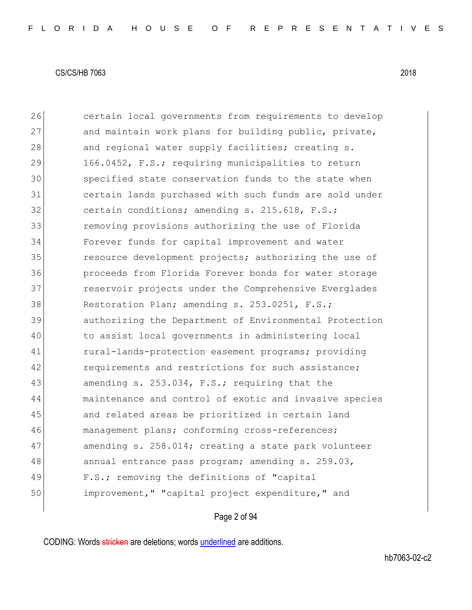26 certain local governments from requirements to develop 27 and maintain work plans for building public, private, 28 and regional water supply facilities; creating s. 29 166.0452, F.S.; requiring municipalities to return 30 specified state conservation funds to the state when 31 certain lands purchased with such funds are sold under 32 certain conditions; amending s. 215.618, F.S.; 33 removing provisions authorizing the use of Florida 34 Forever funds for capital improvement and water 35 resource development projects; authorizing the use of 36 proceeds from Florida Forever bonds for water storage 37 **reservoir projects under the Comprehensive Everglades** 38 Restoration Plan; amending s. 253.0251, F.S.; 39 authorizing the Department of Environmental Protection 40 to assist local governments in administering local 41 rural-lands-protection easement programs; providing 42 requirements and restrictions for such assistance; 43 amending s. 253.034, F.S.; requiring that the 44 maintenance and control of exotic and invasive species 45 and related areas be prioritized in certain land 46 management plans; conforming cross-references; 47 amending s. 258.014; creating a state park volunteer 48 annual entrance pass program; amending s. 259.03, 49 F.S.; removing the definitions of "capital 50 improvement," "capital project expenditure," and

Page 2 of 94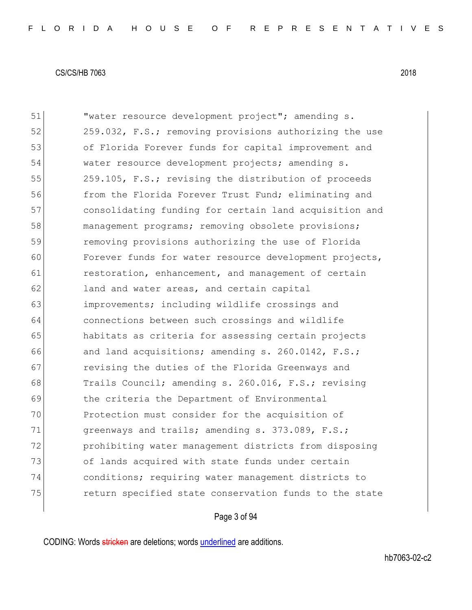| 51 | "water resource development project"; amending s.      |
|----|--------------------------------------------------------|
| 52 | 259.032, F.S.; removing provisions authorizing the use |
| 53 | of Florida Forever funds for capital improvement and   |
| 54 | water resource development projects; amending s.       |
| 55 | 259.105, F.S.; revising the distribution of proceeds   |
| 56 | from the Florida Forever Trust Fund; eliminating and   |
| 57 | consolidating funding for certain land acquisition and |
| 58 | management programs; removing obsolete provisions;     |
| 59 | removing provisions authorizing the use of Florida     |
| 60 | Forever funds for water resource development projects, |
| 61 | restoration, enhancement, and management of certain    |
| 62 | land and water areas, and certain capital              |
| 63 | improvements; including wildlife crossings and         |
| 64 | connections between such crossings and wildlife        |
| 65 | habitats as criteria for assessing certain projects    |
| 66 | and land acquisitions; amending s. 260.0142, F.S.;     |
| 67 | revising the duties of the Florida Greenways and       |
| 68 | Trails Council; amending s. 260.016, F.S.; revising    |
| 69 | the criteria the Department of Environmental           |
| 70 | Protection must consider for the acquisition of        |
| 71 | greenways and trails; amending s. 373.089, F.S.;       |
| 72 | prohibiting water management districts from disposing  |
| 73 | of lands acquired with state funds under certain       |
| 74 | conditions; requiring water management districts to    |
| 75 | return specified state conservation funds to the state |
|    |                                                        |

# Page 3 of 94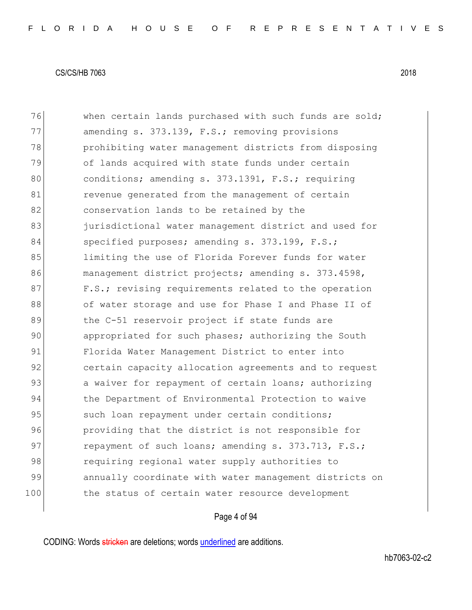| 76  | when certain lands purchased with such funds are sold; |
|-----|--------------------------------------------------------|
| 77  | amending s. 373.139, F.S.; removing provisions         |
| 78  | prohibiting water management districts from disposing  |
| 79  | of lands acquired with state funds under certain       |
| 80  | conditions; amending s. 373.1391, F.S.; requiring      |
| 81  | revenue generated from the management of certain       |
| 82  | conservation lands to be retained by the               |
| 83  | jurisdictional water management district and used for  |
| 84  | specified purposes; amending s. 373.199, F.S.;         |
| 85  | limiting the use of Florida Forever funds for water    |
| 86  | management district projects; amending s. 373.4598,    |
| 87  | F.S.; revising requirements related to the operation   |
| 88  | of water storage and use for Phase I and Phase II of   |
| 89  | the C-51 reservoir project if state funds are          |
| 90  | appropriated for such phases; authorizing the South    |
| 91  | Florida Water Management District to enter into        |
| 92  | certain capacity allocation agreements and to request  |
| 93  | a waiver for repayment of certain loans; authorizing   |
| 94  | the Department of Environmental Protection to waive    |
| 95  | such loan repayment under certain conditions;          |
| 96  | providing that the district is not responsible for     |
| 97  | repayment of such loans; amending s. 373.713, F.S.;    |
| 98  | requiring regional water supply authorities to         |
| 99  | annually coordinate with water management districts on |
| 100 | the status of certain water resource development       |

# Page 4 of 94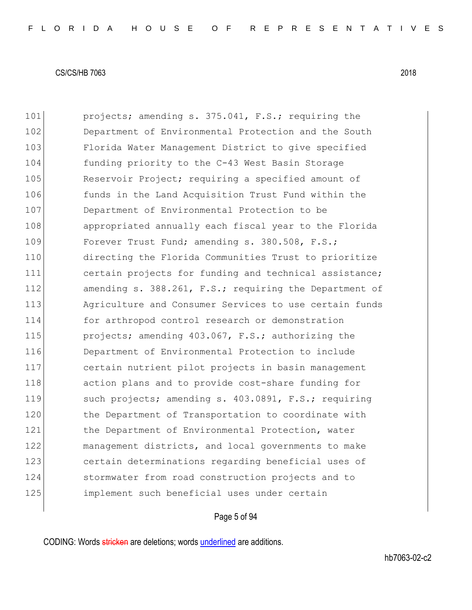101 **projects; amending s. 375.041, F.S.; requiring the** 102 Department of Environmental Protection and the South 103 Florida Water Management District to give specified 104 funding priority to the C-43 West Basin Storage 105 Reservoir Project; requiring a specified amount of 106 funds in the Land Acquisition Trust Fund within the 107 Department of Environmental Protection to be 108 appropriated annually each fiscal year to the Florida 109 Forever Trust Fund; amending s. 380.508, F.S.; 110 directing the Florida Communities Trust to prioritize 111 certain projects for funding and technical assistance; 112 amending s. 388.261, F.S.; requiring the Department of 113 Agriculture and Consumer Services to use certain funds 114 for arthropod control research or demonstration 115 **projects;** amending 403.067, F.S.; authorizing the 116 Department of Environmental Protection to include 117 certain nutrient pilot projects in basin management 118 action plans and to provide cost-share funding for 119 such projects; amending s. 403.0891, F.S.; requiring 120 the Department of Transportation to coordinate with 121 the Department of Environmental Protection, water 122 management districts, and local governments to make 123 certain determinations regarding beneficial uses of 124 stormwater from road construction projects and to 125 implement such beneficial uses under certain

# Page 5 of 94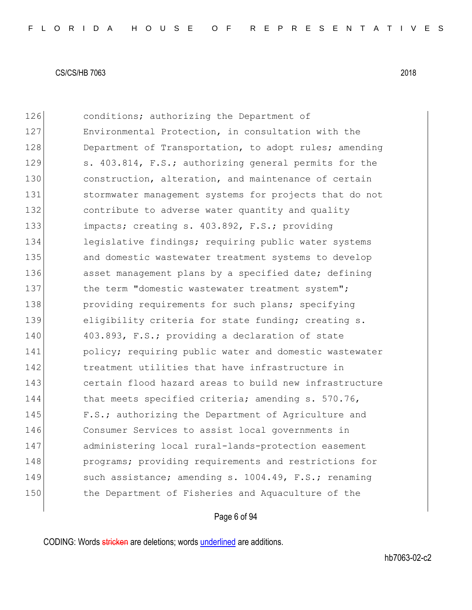126 conditions; authorizing the Department of 127 Environmental Protection, in consultation with the 128 Department of Transportation, to adopt rules; amending 129 s. 403.814, F.S.; authorizing general permits for the 130 construction, alteration, and maintenance of certain 131 stormwater management systems for projects that do not 132 contribute to adverse water quantity and quality 133 impacts; creating s. 403.892, F.S.; providing 134 legislative findings; requiring public water systems 135 and domestic wastewater treatment systems to develop 136 asset management plans by a specified date; defining 137 the term "domestic wastewater treatment system"; 138 **providing requirements for such plans; specifying** 139 eligibility criteria for state funding; creating s. 140 403.893, F.S.; providing a declaration of state 141 **policy;** requiring public water and domestic wastewater 142 treatment utilities that have infrastructure in 143 certain flood hazard areas to build new infrastructure 144 that meets specified criteria; amending s. 570.76, 145 **F.S.;** authorizing the Department of Agriculture and 146 Consumer Services to assist local governments in 147 administering local rural-lands-protection easement 148 **programs;** providing requirements and restrictions for 149 such assistance; amending s. 1004.49, F.S.; renaming 150 the Department of Fisheries and Aquaculture of the

# Page 6 of 94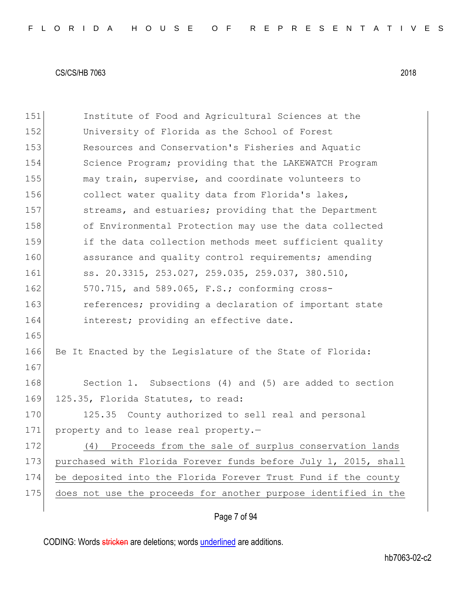151 Institute of Food and Agricultural Sciences at the 152 University of Florida as the School of Forest 153 Resources and Conservation's Fisheries and Aquatic 154 Science Program; providing that the LAKEWATCH Program 155 may train, supervise, and coordinate volunteers to 156 collect water quality data from Florida's lakes, 157 streams, and estuaries; providing that the Department 158 of Environmental Protection may use the data collected 159 if the data collection methods meet sufficient quality 160 assurance and quality control requirements; amending 161 ss. 20.3315, 253.027, 259.035, 259.037, 380.510, 162 570.715, and 589.065, F.S.; conforming cross-163 **references;** providing a declaration of important state 164 interest; providing an effective date. 165 166 Be It Enacted by the Legislature of the State of Florida: 167 168 Section 1. Subsections (4) and (5) are added to section 169 125.35, Florida Statutes, to read: 170 125.35 County authorized to sell real and personal 171 property and to lease real property.-172 (4) Proceeds from the sale of surplus conservation lands 173 purchased with Florida Forever funds before July 1, 2015, shall 174 be deposited into the Florida Forever Trust Fund if the county 175 does not use the proceeds for another purpose identified in the

# Page 7 of 94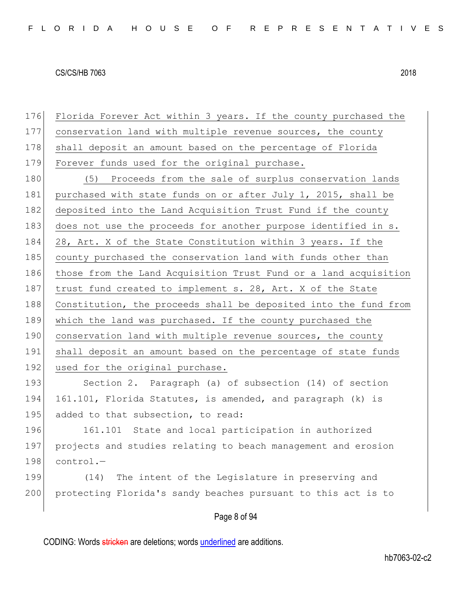Page 8 of 94 176 Florida Forever Act within 3 years. If the county purchased the 177 conservation land with multiple revenue sources, the county 178 shall deposit an amount based on the percentage of Florida 179 Forever funds used for the original purchase. 180 (5) Proceeds from the sale of surplus conservation lands 181 purchased with state funds on or after July 1, 2015, shall be 182 deposited into the Land Acquisition Trust Fund if the county 183 does not use the proceeds for another purpose identified in s. 184 28, Art. X of the State Constitution within 3 years. If the 185 county purchased the conservation land with funds other than 186 those from the Land Acquisition Trust Fund or a land acquisition 187 trust fund created to implement s. 28, Art. X of the State 188 Constitution, the proceeds shall be deposited into the fund from 189 which the land was purchased. If the county purchased the 190 conservation land with multiple revenue sources, the county 191 shall deposit an amount based on the percentage of state funds 192 used for the original purchase. 193 Section 2. Paragraph (a) of subsection (14) of section 194 161.101, Florida Statutes, is amended, and paragraph (k) is 195 added to that subsection, to read: 196 161.101 State and local participation in authorized 197 projects and studies relating to beach management and erosion  $198$  control.-199 (14) The intent of the Legislature in preserving and 200 protecting Florida's sandy beaches pursuant to this act is to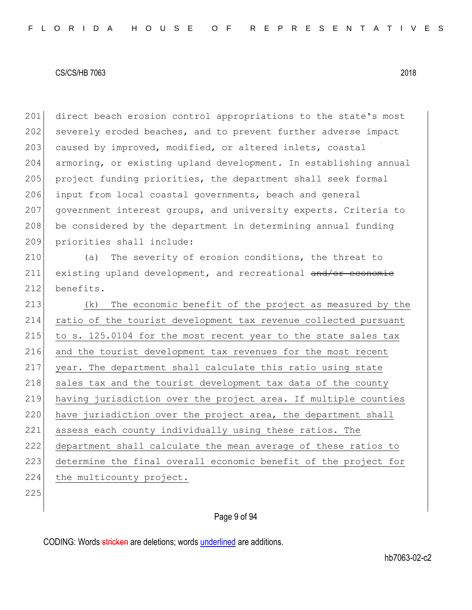201 direct beach erosion control appropriations to the state's most 202 severely eroded beaches, and to prevent further adverse impact 203 caused by improved, modified, or altered inlets, coastal 204 armoring, or existing upland development. In establishing annual 205 project funding priorities, the department shall seek formal 206 input from local coastal governments, beach and general 207 government interest groups, and university experts. Criteria to 208 be considered by the department in determining annual funding 209 priorities shall include: 210 (a) The severity of erosion conditions, the threat to 211 existing upland development, and recreational and/or economic

212 benefits.

213 (k) The economic benefit of the project as measured by the 214 ratio of the tourist development tax revenue collected pursuant 215 to s.  $125.0104$  for the most recent year to the state sales tax 216 and the tourist development tax revenues for the most recent 217 year. The department shall calculate this ratio using state 218 sales tax and the tourist development tax data of the county 219 having jurisdiction over the project area. If multiple counties 220 have jurisdiction over the project area, the department shall 221 assess each county individually using these ratios. The 222 department shall calculate the mean average of these ratios to 223 determine the final overall economic benefit of the project for 224 the multicounty project.

225

# Page 9 of 94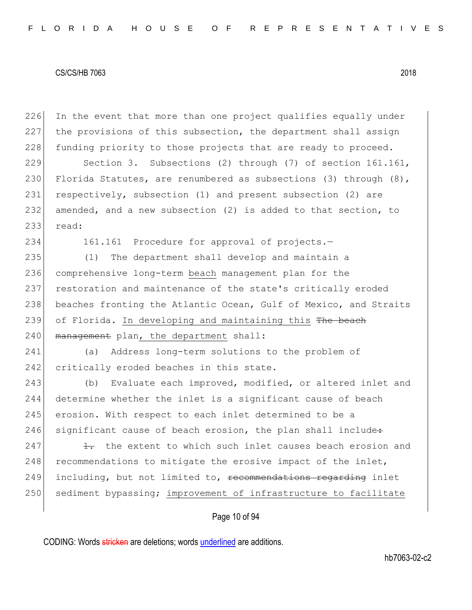226 In the event that more than one project qualifies equally under 227 the provisions of this subsection, the department shall assign 228 funding priority to those projects that are ready to proceed.

229 Section 3. Subsections (2) through (7) of section 161.161, 230 Florida Statutes, are renumbered as subsections (3) through  $(8)$ , 231 respectively, subsection (1) and present subsection (2) are 232 amended, and a new subsection (2) is added to that section, to 233 read:

234 161.161 Procedure for approval of projects.—

235 (1) The department shall develop and maintain a 236 comprehensive long-term beach management plan for the 237 restoration and maintenance of the state's critically eroded 238 beaches fronting the Atlantic Ocean, Gulf of Mexico, and Straits 239 of Florida. In developing and maintaining this The beach 240 management plan, the department shall:

241 (a) Address long-term solutions to the problem of 242 critically eroded beaches in this state.

243 (b) Evaluate each improved, modified, or altered inlet and 244 determine whether the inlet is a significant cause of beach 245 erosion. With respect to each inlet determined to be a  $246$  significant cause of beach erosion, the plan shall include:

 $247$  1. the extent to which such inlet causes beach erosion and 248 recommendations to mitigate the erosive impact of the inlet, 249 including, but not limited to, recommendations regarding inlet 250 sediment bypassing; improvement of infrastructure to facilitate

# Page 10 of 94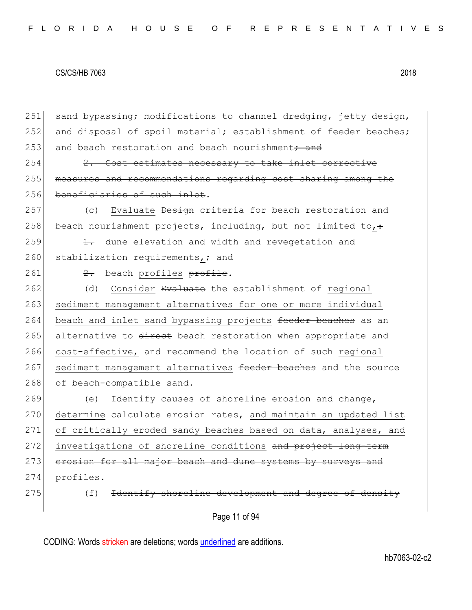Page 11 of 94 251 sand bypassing; modifications to channel dredging, jetty design, 252 and disposal of spoil material; establishment of feeder beaches; 253 and beach restoration and beach nourishment<del>; and</del> 254 2. Cost estimates necessary to take inlet corrective 255 measures and recommendations regarding cost sharing among the 256 beneficiaries of such inlet. 257 (c) Evaluate <del>Design</del> criteria for beach restoration and 258 beach nourishment projects, including, but not limited to,  $\div$ 259  $\left| \right|$   $\frac{1}{1}$  dune elevation and width and revegetation and 260 stabilization requirements,  $\div$  and 261  $\left| \right|$   $\frac{2}{x}$  beach profiles profile. 262 (d) Consider Evaluate the establishment of regional 263 sediment management alternatives for one or more individual 264 beach and inlet sand bypassing projects feeder beaches as an 265 alternative to direct beach restoration when appropriate and 266 cost-effective, and recommend the location of such regional 267 sediment management alternatives feeder beaches and the source 268 of beach-compatible sand. 269 (e) Identify causes of shoreline erosion and change, 270 determine calculate erosion rates, and maintain an updated list 271 of critically eroded sandy beaches based on data, analyses, and 272 investigations of shoreline conditions and project long-term 273 erosion for all major beach and dune systems by surveys and  $274$  profiles. 275 (f) Hetality shoreline development and degree of density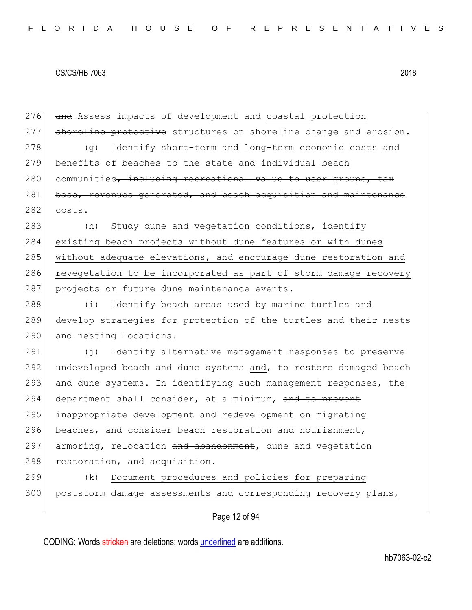276 and Assess impacts of development and coastal protection 277 shoreline protective structures on shoreline change and erosion. 278 (g) Identify short-term and long-term economic costs and 279 benefits of beaches to the state and individual beach 280 communities, including recreational value to user groups, tax 281 base, revenues generated, and beach acquisition and maintenance  $282$  costs. 283 (h) Study dune and vegetation conditions, identify 284 existing beach projects without dune features or with dunes 285 without adequate elevations, and encourage dune restoration and 286 revegetation to be incorporated as part of storm damage recovery 287 projects or future dune maintenance events. 288 (i) Identify beach areas used by marine turtles and 289 develop strategies for protection of the turtles and their nests 290 and nesting locations. 291 (j) Identify alternative management responses to preserve 292 undeveloped beach and dune systems and $\tau$  to restore damaged beach 293 and dune systems. In identifying such management responses, the 294 department shall consider, at a minimum, and to prevent 295 inappropriate development and redevelopment on migrating 296 beaches, and consider beach restoration and nourishment, 297 armoring, relocation and abandonment, dune and vegetation 298 restoration, and acquisition. 299 (k) Document procedures and policies for preparing

Page 12 of 94

300 poststorm damage assessments and corresponding recovery plans,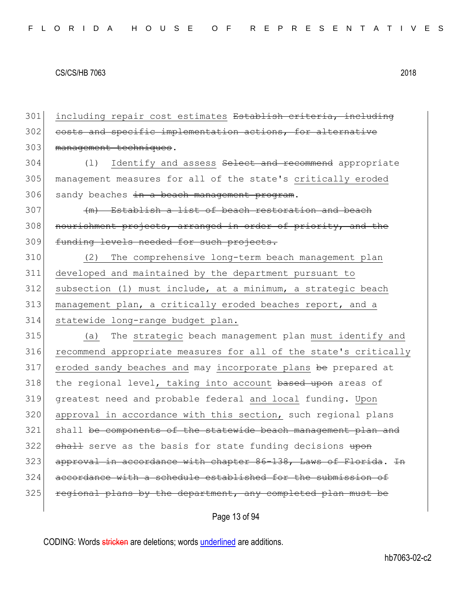301 including repair cost estimates Establish criteria, including 302 costs and specific implementation actions, for alternative 303 management techniques. 304 (1) Identify and assess Select and recommend appropriate 305 management measures for all of the state's critically eroded  $306$  sandy beaches in a beach management program.  $307$  (m) Establish a list of beach restoration and beach 308 nourishment projects, arranged in order of priority, and the 309 funding levels needed for such projects. 310 (2) The comprehensive long-term beach management plan 311 developed and maintained by the department pursuant to  $312$  subsection (1) must include, at a minimum, a strategic beach 313 management plan, a critically eroded beaches report, and a 314 statewide long-range budget plan. 315 (a) The strategic beach management plan must identify and 316 recommend appropriate measures for all of the state's critically 317 eroded sandy beaches and may incorporate plans be prepared at 318 the regional level, taking into account based upon areas of 319 greatest need and probable federal and local funding. Upon 320 approval in accordance with this section, such regional plans 321 shall be components of the statewide beach management plan and 322 shall serve as the basis for state funding decisions upon 323 approval in accordance with chapter 86-138, Laws of Florida. In 324 accordance with a schedule established for the submission of 325 regional plans by the department, any completed plan must be

Page 13 of 94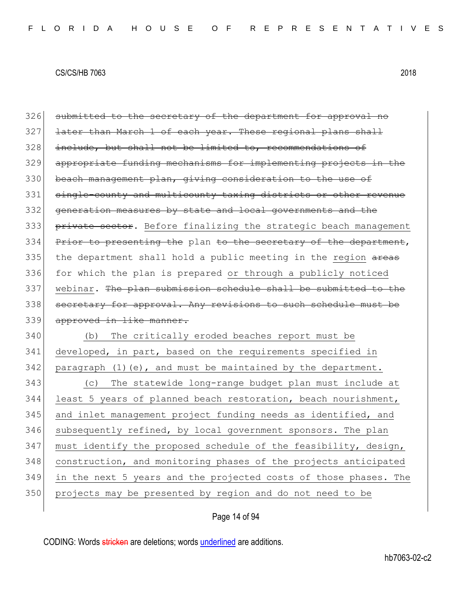326 submitted to the secretary of the department for approval no 327 later than March 1 of each year. These regional plans shall 328 include, but shall not be limited to, recommendations of 329 appropriate funding mechanisms for implementing projects in the 330 beach management plan, giving consideration to the use of 331 single-county and multicounty taxing districts or other revenue 332 generation measures by state and local governments and the 333 private sector. Before finalizing the strategic beach management 334 Prior to presenting the plan to the secretary of the department,  $335$  the department shall hold a public meeting in the region  $\frac{1}{2}$ 336 for which the plan is prepared or through a publicly noticed 337 webinar. The plan submission schedule shall be submitted to the 338 secretary for approval. Any revisions to such schedule must be 339 approved in like manner. 340 (b) The critically eroded beaches report must be 341 developed, in part, based on the requirements specified in  $342$  paragraph (1)(e), and must be maintained by the department.

 (c) The statewide long-range budget plan must include at least 5 years of planned beach restoration, beach nourishment, 345 and inlet management project funding needs as identified, and subsequently refined, by local government sponsors. The plan 347 must identify the proposed schedule of the feasibility, design, construction, and monitoring phases of the projects anticipated in the next 5 years and the projected costs of those phases. The projects may be presented by region and do not need to be

# Page 14 of 94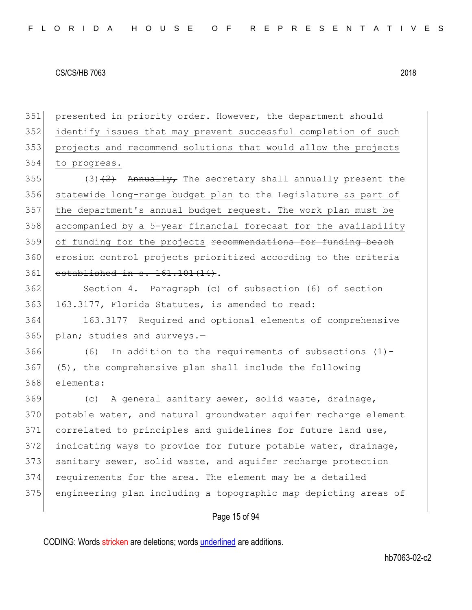351 presented in priority order. However, the department should 352 identify issues that may prevent successful completion of such 353 projects and recommend solutions that would allow the projects 354 to progress. 355  $(3)$   $(2)$  Annually, The secretary shall annually present the 356 statewide long-range budget plan to the Legislature as part of 357 the department's annual budget request. The work plan must be 358 accompanied by a 5-year financial forecast for the availability 359 of funding for the projects recommendations for funding beach 360 erosion control projects prioritized according to the criteria 361 established in s. 161.101(14). 362 Section 4. Paragraph (c) of subsection (6) of section 363 163.3177, Florida Statutes, is amended to read: 364 163.3177 Required and optional elements of comprehensive 365 plan; studies and surveys.- $366$  (6) In addition to the requirements of subsections (1) -367 (5), the comprehensive plan shall include the following 368 elements: 369 (c) A general sanitary sewer, solid waste, drainage, 370 potable water, and natural groundwater aquifer recharge element 371 correlated to principles and quidelines for future land use, 372 indicating ways to provide for future potable water, drainage, 373 sanitary sewer, solid waste, and aquifer recharge protection 374 requirements for the area. The element may be a detailed 375 engineering plan including a topographic map depicting areas of

# Page 15 of 94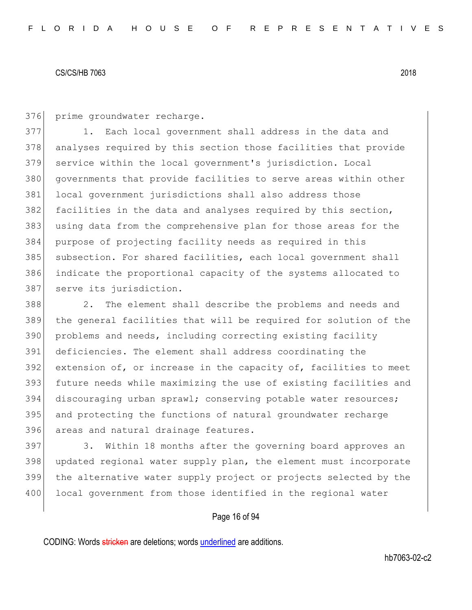376 prime groundwater recharge.

377 1. Each local government shall address in the data and 378 analyses required by this section those facilities that provide 379 service within the local government's jurisdiction. Local 380 governments that provide facilities to serve areas within other 381 local government jurisdictions shall also address those 382 facilities in the data and analyses required by this section, 383 using data from the comprehensive plan for those areas for the 384 purpose of projecting facility needs as required in this 385 subsection. For shared facilities, each local government shall 386 indicate the proportional capacity of the systems allocated to 387 serve its jurisdiction.

388 2. The element shall describe the problems and needs and the general facilities that will be required for solution of the problems and needs, including correcting existing facility deficiencies. The element shall address coordinating the extension of, or increase in the capacity of, facilities to meet future needs while maximizing the use of existing facilities and discouraging urban sprawl; conserving potable water resources; and protecting the functions of natural groundwater recharge 396 areas and natural drainage features.

397 3. Within 18 months after the governing board approves an 398 updated regional water supply plan, the element must incorporate 399 the alternative water supply project or projects selected by the 400 local government from those identified in the regional water

# Page 16 of 94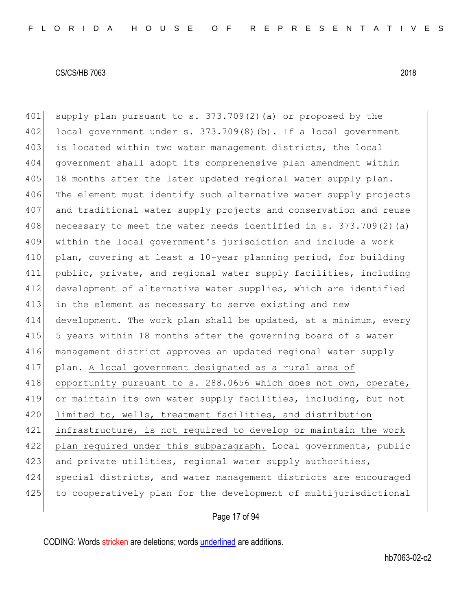401 supply plan pursuant to s. 373.709(2)(a) or proposed by the 402 local government under s.  $373.709(8)$  (b). If a local government 403 is located within two water management districts, the local 404 government shall adopt its comprehensive plan amendment within 405 18 months after the later updated regional water supply plan. 406 The element must identify such alternative water supply projects 407 and traditional water supply projects and conservation and reuse 408 necessary to meet the water needs identified in s.  $373.709(2)$  (a) 409 within the local government's jurisdiction and include a work 410 plan, covering at least a 10-year planning period, for building 411 public, private, and regional water supply facilities, including 412 development of alternative water supplies, which are identified 413 in the element as necessary to serve existing and new 414 development. The work plan shall be updated, at a minimum, every 415 5 years within 18 months after the governing board of a water 416 management district approves an updated regional water supply 417 plan. A local government designated as a rural area of 418 opportunity pursuant to s. 288.0656 which does not own, operate, 419 or maintain its own water supply facilities, including, but not 420 limited to, wells, treatment facilities, and distribution 421 infrastructure, is not required to develop or maintain the work 422 plan required under this subparagraph. Local governments, public 423 and private utilities, regional water supply authorities, 424 special districts, and water management districts are encouraged 425 to cooperatively plan for the development of multijurisdictional

Page 17 of 94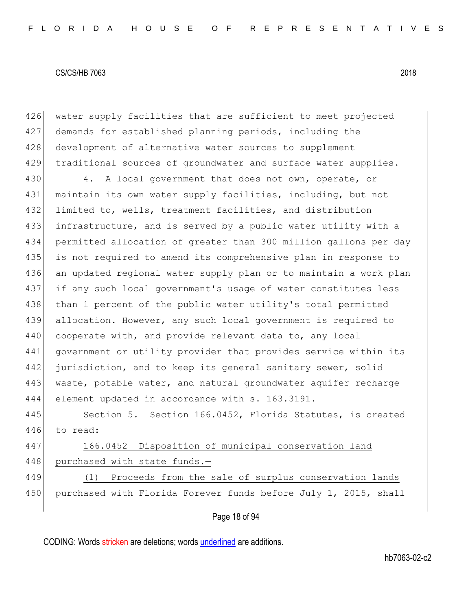426 water supply facilities that are sufficient to meet projected 427 demands for established planning periods, including the 428 development of alternative water sources to supplement 429 traditional sources of groundwater and surface water supplies.

430 4. A local government that does not own, operate, or 431 maintain its own water supply facilities, including, but not 432 limited to, wells, treatment facilities, and distribution 433 infrastructure, and is served by a public water utility with a 434 permitted allocation of greater than 300 million gallons per day 435 is not required to amend its comprehensive plan in response to 436 an updated regional water supply plan or to maintain a work plan 437 if any such local government's usage of water constitutes less 438 than 1 percent of the public water utility's total permitted 439 allocation. However, any such local government is required to 440 cooperate with, and provide relevant data to, any local 441 government or utility provider that provides service within its 442 jurisdiction, and to keep its general sanitary sewer, solid 443 waste, potable water, and natural groundwater aquifer recharge 444 element updated in accordance with s. 163.3191.

445 Section 5. Section 166.0452, Florida Statutes, is created 446 to read:

447 166.0452 Disposition of municipal conservation land 448 purchased with state funds.-

449 (1) Proceeds from the sale of surplus conservation lands 450 purchased with Florida Forever funds before July 1, 2015, shall

# Page 18 of 94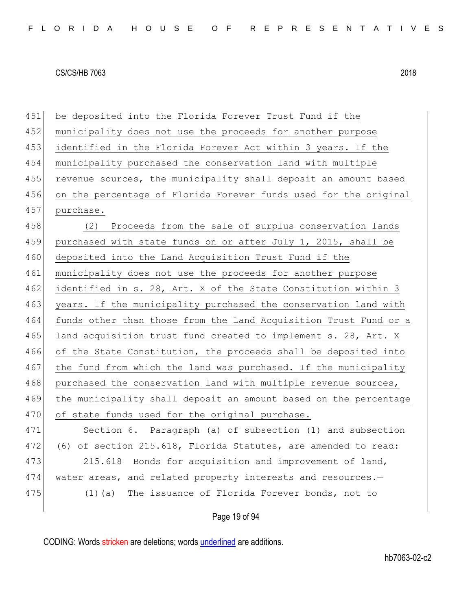451 be deposited into the Florida Forever Trust Fund if the 452 municipality does not use the proceeds for another purpose 453 identified in the Florida Forever Act within 3 years. If the 454 municipality purchased the conservation land with multiple 455 revenue sources, the municipality shall deposit an amount based 456 on the percentage of Florida Forever funds used for the original 457 purchase. 458 (2) Proceeds from the sale of surplus conservation lands 459 purchased with state funds on or after July 1, 2015, shall be 460 deposited into the Land Acquisition Trust Fund if the 461 municipality does not use the proceeds for another purpose 462 identified in s. 28, Art. X of the State Constitution within 3 463 years. If the municipality purchased the conservation land with 464 funds other than those from the Land Acquisition Trust Fund or a 465 land acquisition trust fund created to implement s. 28, Art. X 466 of the State Constitution, the proceeds shall be deposited into 467 the fund from which the land was purchased. If the municipality 468 purchased the conservation land with multiple revenue sources, 469 the municipality shall deposit an amount based on the percentage 470 of state funds used for the original purchase. 471 Section 6. Paragraph (a) of subsection (1) and subsection 472 (6) of section 215.618, Florida Statutes, are amended to read: 473 215.618 Bonds for acquisition and improvement of land, 474 water areas, and related property interests and resources.— 475 (1)(a) The issuance of Florida Forever bonds, not to

Page 19 of 94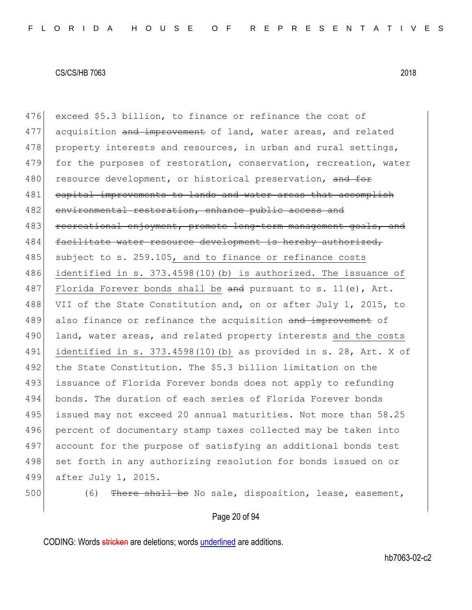476 exceed \$5.3 billion, to finance or refinance the cost of 477 acquisition and improvement of land, water areas, and related 478 property interests and resources, in urban and rural settings, 479 for the purposes of restoration, conservation, recreation, water 480 resource development, or historical preservation, and for 481 capital improvements to lands and water areas that accomplish 482 environmental restoration, enhance public access and 483 recreational enjoyment, promote long-term management goals, and 484 facilitate water resource development is hereby authorized, 485 subject to s. 259.105, and to finance or refinance costs 486 identified in s. 373.4598(10)(b) is authorized. The issuance of 487 Florida Forever bonds shall be and pursuant to s. 11(e), Art. 488 VII of the State Constitution and, on or after July 1, 2015, to 489 also finance or refinance the acquisition and improvement of 490 land, water areas, and related property interests and the costs 491 identified in s. 373.4598(10)(b) as provided in s. 28, Art. X of 492 the State Constitution. The \$5.3 billion limitation on the 493 issuance of Florida Forever bonds does not apply to refunding 494 bonds. The duration of each series of Florida Forever bonds 495 issued may not exceed 20 annual maturities. Not more than 58.25 496 percent of documentary stamp taxes collected may be taken into 497 account for the purpose of satisfying an additional bonds test 498 set forth in any authorizing resolution for bonds issued on or 499 after July 1, 2015. 500 (6) There shall be No sale, disposition, lease, easement,

## Page 20 of 94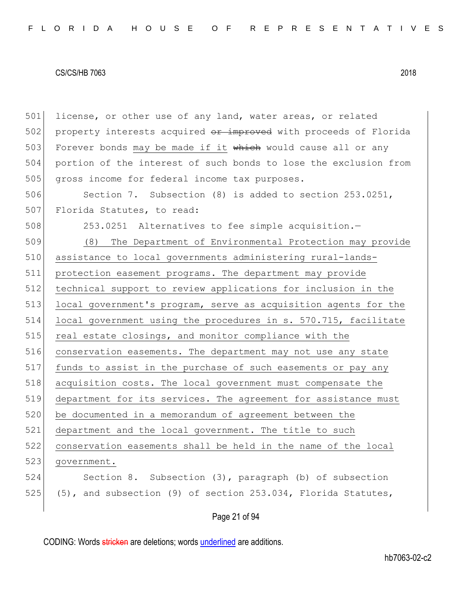501 license, or other use of any land, water areas, or related 502 property interests acquired or improved with proceeds of Florida 503 Forever bonds may be made if it which would cause all or any 504 portion of the interest of such bonds to lose the exclusion from 505 gross income for federal income tax purposes. 506 Section 7. Subsection (8) is added to section 253.0251, 507 Florida Statutes, to read: 508 253.0251 Alternatives to fee simple acquisition. 509 (8) The Department of Environmental Protection may provide 510 assistance to local governments administering rural-lands-511 protection easement programs. The department may provide 512 technical support to review applications for inclusion in the 513 local government's program, serve as acquisition agents for the 514 local government using the procedures in s. 570.715, facilitate 515 real estate closings, and monitor compliance with the 516 conservation easements. The department may not use any state 517 funds to assist in the purchase of such easements or pay any 518 acquisition costs. The local government must compensate the 519 department for its services. The agreement for assistance must 520 be documented in a memorandum of agreement between the 521 department and the local government. The title to such 522 conservation easements shall be held in the name of the local 523 government. 524 Section 8. Subsection (3), paragraph (b) of subsection 525 (5), and subsection (9) of section 253.034, Florida Statutes,

# Page 21 of 94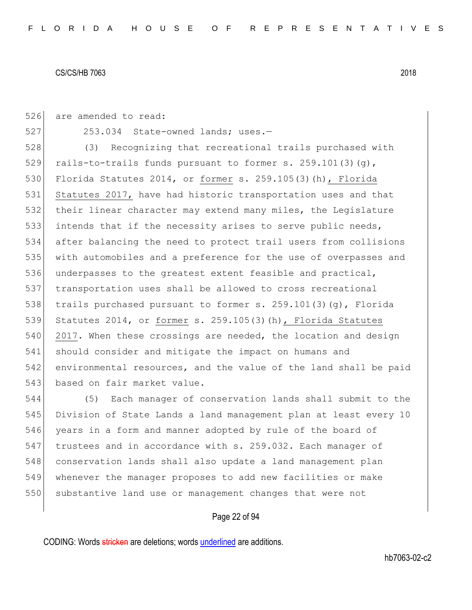526 are amended to read:

527 253.034 State-owned lands; uses.-

528 (3) Recognizing that recreational trails purchased with 529 rails-to-trails funds pursuant to former s. 259.101(3)(g), 530 Florida Statutes 2014, or former s. 259.105(3)(h), Florida 531 Statutes 2017, have had historic transportation uses and that 532 their linear character may extend many miles, the Legislature 533 intends that if the necessity arises to serve public needs, 534 after balancing the need to protect trail users from collisions 535 with automobiles and a preference for the use of overpasses and 536 underpasses to the greatest extent feasible and practical, 537 transportation uses shall be allowed to cross recreational 538 trails purchased pursuant to former s.  $259.101(3)(q)$ , Florida 539 Statutes 2014, or former s. 259.105(3)(h), Florida Statutes 540 2017. When these crossings are needed, the location and design 541 should consider and mitigate the impact on humans and 542 environmental resources, and the value of the land shall be paid 543 based on fair market value.

 (5) Each manager of conservation lands shall submit to the Division of State Lands a land management plan at least every 10 years in a form and manner adopted by rule of the board of trustees and in accordance with s. 259.032. Each manager of 548 conservation lands shall also update a land management plan whenever the manager proposes to add new facilities or make 550 substantive land use or management changes that were not

# Page 22 of 94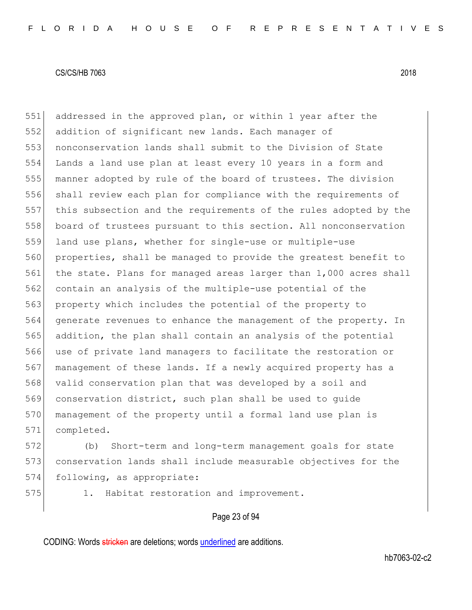addressed in the approved plan, or within 1 year after the addition of significant new lands. Each manager of nonconservation lands shall submit to the Division of State Lands a land use plan at least every 10 years in a form and manner adopted by rule of the board of trustees. The division shall review each plan for compliance with the requirements of this subsection and the requirements of the rules adopted by the board of trustees pursuant to this section. All nonconservation 559 land use plans, whether for single-use or multiple-use properties, shall be managed to provide the greatest benefit to the state. Plans for managed areas larger than 1,000 acres shall contain an analysis of the multiple-use potential of the 563 property which includes the potential of the property to generate revenues to enhance the management of the property. In addition, the plan shall contain an analysis of the potential use of private land managers to facilitate the restoration or management of these lands. If a newly acquired property has a valid conservation plan that was developed by a soil and 569 conservation district, such plan shall be used to guide 570 management of the property until a formal land use plan is completed.

 (b) Short-term and long-term management goals for state conservation lands shall include measurable objectives for the following, as appropriate:

575 1. Habitat restoration and improvement.

# Page 23 of 94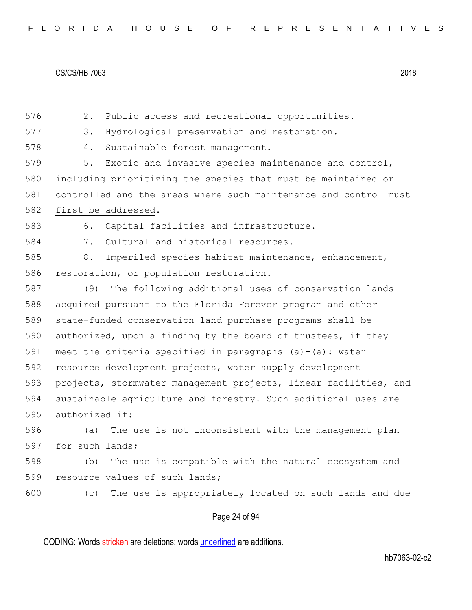576 2. Public access and recreational opportunities. 577 3. Hydrological preservation and restoration. 578 4. Sustainable forest management. 579 5. Exotic and invasive species maintenance and control, 580 including prioritizing the species that must be maintained or 581 controlled and the areas where such maintenance and control must 582 first be addressed. 583 6. Capital facilities and infrastructure. 584 7. Cultural and historical resources. 585 8. Imperiled species habitat maintenance, enhancement, 586 restoration, or population restoration. 587 (9) The following additional uses of conservation lands 588 acquired pursuant to the Florida Forever program and other 589 state-funded conservation land purchase programs shall be 590 authorized, upon a finding by the board of trustees, if they 591 meet the criteria specified in paragraphs  $(a) - (e)$ : water 592 resource development projects, water supply development 593 projects, stormwater management projects, linear facilities, and 594 sustainable agriculture and forestry. Such additional uses are 595 authorized if: 596 (a) The use is not inconsistent with the management plan 597 for such lands; 598 (b) The use is compatible with the natural ecosystem and 599 resource values of such lands; 600 (c) The use is appropriately located on such lands and due

# Page 24 of 94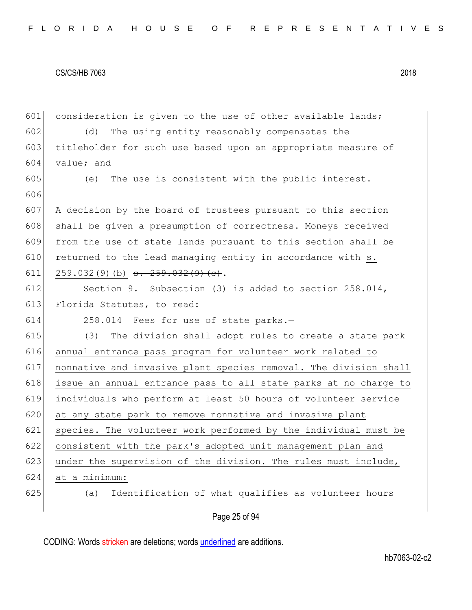| 601 | consideration is given to the use of other available lands;      |
|-----|------------------------------------------------------------------|
| 602 | (d)<br>The using entity reasonably compensates the               |
| 603 | titleholder for such use based upon an appropriate measure of    |
| 604 | value; and                                                       |
| 605 | The use is consistent with the public interest.<br>(e)           |
| 606 |                                                                  |
| 607 | A decision by the board of trustees pursuant to this section     |
| 608 | shall be given a presumption of correctness. Moneys received     |
| 609 | from the use of state lands pursuant to this section shall be    |
| 610 | returned to the lead managing entity in accordance with s.       |
| 611 | $259.032(9)$ (b) $\overline{3.259.032(9)(e)}$ .                  |
| 612 | Section 9. Subsection (3) is added to section 258.014,           |
| 613 | Florida Statutes, to read:                                       |
| 614 | 258.014 Fees for use of state parks.-                            |
| 615 | The division shall adopt rules to create a state park<br>(3)     |
| 616 | annual entrance pass program for volunteer work related to       |
| 617 | nonnative and invasive plant species removal. The division shall |
| 618 | issue an annual entrance pass to all state parks at no charge to |
| 619 | individuals who perform at least 50 hours of volunteer service   |
| 620 | at any state park to remove nonnative and invasive plant         |
| 621 | species. The volunteer work performed by the individual must be  |
| 622 | consistent with the park's adopted unit management plan and      |
| 623 | under the supervision of the division. The rules must include,   |
| 624 | at a minimum:                                                    |
| 625 | Identification of what qualifies as volunteer hours<br>(a)       |
|     | Page 25 of 94                                                    |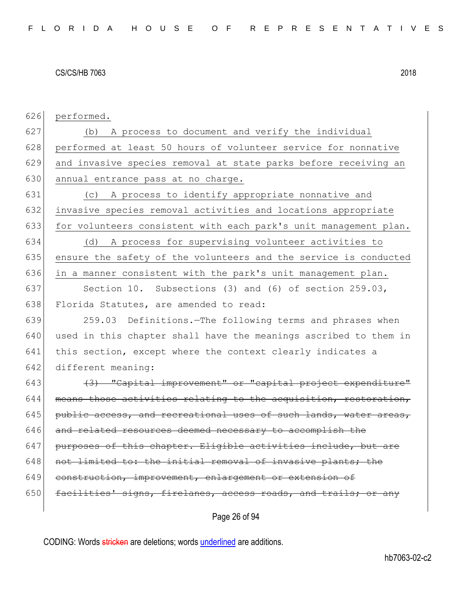626 performed.

627 (b) A process to document and verify the individual 628 performed at least 50 hours of volunteer service for nonnative 629 and invasive species removal at state parks before receiving an 630 annual entrance pass at no charge.

631 (c) A process to identify appropriate nonnative and 632 invasive species removal activities and locations appropriate 633 for volunteers consistent with each park's unit management plan.

634 (d) A process for supervising volunteer activities to 635 ensure the safety of the volunteers and the service is conducted 636 in a manner consistent with the park's unit management plan.

637 Section 10. Subsections (3) and (6) of section 259.03, 638 Florida Statutes, are amended to read:

639 259.03 Definitions.—The following terms and phrases when 640 used in this chapter shall have the meanings ascribed to them in 641 this section, except where the context clearly indicates a 642 different meaning:

 $(3)$   $(3)$   $"Capital$  improvement" or "capital project expenditure" means those activities relating to the acquisition, restoration, public access, and recreational uses of such lands, water areas, and related resources deemed necessary to accomplish the 647 purposes of this chapter. Eligible activities include, but are not limited to: the initial removal of invasive plants; the construction, improvement, enlargement or extension of 650 facilities' signs, firelanes, access roads, and trails; or any

Page 26 of 94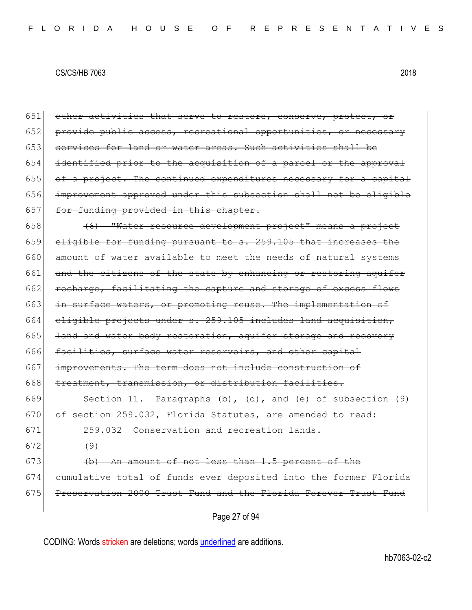| 651 | other activities that serve to restore, conserve, protect, or        |
|-----|----------------------------------------------------------------------|
| 652 | provide public access, recreational opportunities, or necessary      |
| 653 | services for land or water areas. Such activities shall be           |
| 654 | identified prior to the acquisition of a parcel or the approval      |
| 655 | of a project. The continued expenditures necessary for a capital     |
| 656 | improvement approved under this subsection shall not be eligible     |
| 657 | for funding provided in this chapter.                                |
| 658 | (6) "Water resource development project" means a project             |
| 659 | eligible for funding pursuant to s. 259.105 that increases the       |
| 660 | amount of water available to meet the needs of natural systems       |
| 661 | and the citizens of the state by enhancing or restoring aguifer      |
| 662 | recharge, facilitating the capture and storage of excess flows       |
| 663 | in surface waters, or promoting reuse. The implementation of         |
| 664 | eligible projects under s. 259.105 includes land acquisition,        |
| 665 | land and water body restoration, aquifer storage and recovery        |
| 666 | facilities, surface water reservoirs, and other capital              |
| 667 | improvements. The term does not include construction of              |
| 668 | treatment, transmission, or distribution facilities.                 |
| 669 | Section 11. Paragraphs $(b)$ , $(d)$ , and $(e)$ of subsection $(9)$ |
| 670 | of section 259.032, Florida Statutes, are amended to read:           |
| 671 | 259.032 Conservation and recreation lands.-                          |
| 672 | (9)                                                                  |
| 673 | (b) An amount of not less than 1.5 percent of the                    |
| 674 | cumulative total of funds ever deposited into the former Florida     |
| 675 | Preservation 2000 Trust Fund and the Florida Forever Trust Fund      |
|     | Page 27 of 94                                                        |
|     |                                                                      |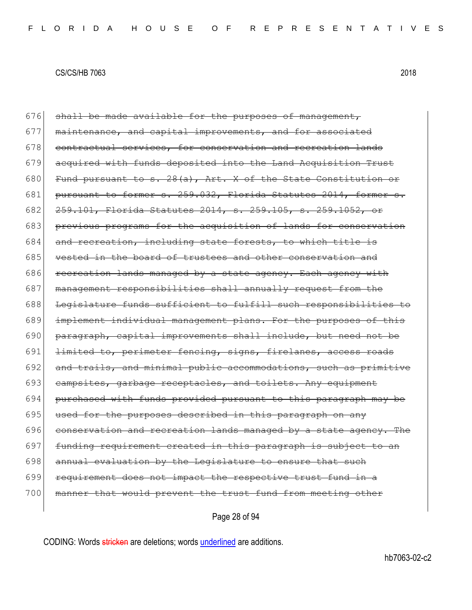$676$  shall be made available for the purposes of management, 677 maintenance, and capital improvements, and for associated 678 contractual services, for conservation and recreation lands 679 acquired with funds deposited into the Land Acquisition Trust 680 Fund pursuant to s.  $28(a)$ , Art. X of the State Constitution or 681 pursuant to former s.  $259.032$ , Florida Statutes 2014, former 682 <del>259.101, Florida Statutes 2014, s. 259.105, s. 259.1052, or</del> 683 previous programs for the acquisition of lands for conservation 684 and recreation, including state forests, to which title is 685 vested in the board of trustees and other conservation and 686 recreation lands managed by a state agency. Each agency with 687 management responsibilities shall annually request from the 688 Legislature funds sufficient to fulfill such responsibilities to 689 implement individual management plans. For the purposes of this 690 paragraph, capital improvements shall include, but need not be 691 limited to, perimeter fencing, signs, firelanes, access roads 692 and trails, and minimal public accommodations, such as primitive 693 campsites, garbage receptacles, and toilets. Any equipment 694 purchased with funds provided pursuant to this paragraph may be 695 used for the purposes described in this paragraph on any 696 conservation and recreation lands managed by a state agency. The 697 funding requirement created in this paragraph is subject to an 698 annual evaluation by the Legislature to ensure that such 699 requirement does not impact the respective trust fund in a 700 manner that would prevent the trust fund from meeting other

Page 28 of 94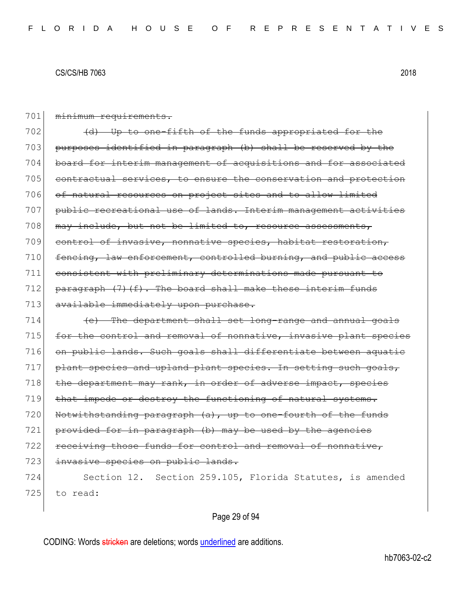| 701 | minimum requirements.                                                     |
|-----|---------------------------------------------------------------------------|
| 702 | (d) Up to one-fifth of the funds appropriated for the                     |
| 703 | purposes identified in paragraph (b) shall be reserved by the             |
| 704 | board for interim management of acquisitions and for associated           |
| 705 | contractual services, to ensure the conservation and protection           |
| 706 | of natural resources on project sites and to allow limited                |
| 707 | public recreational use of lands. Interim management activities           |
| 708 | may include, but not be limited to, resource assessments,                 |
| 709 | control of invasive, nonnative species, habitat restoration,              |
| 710 | fencing, law enforcement, controlled burning, and public access           |
| 711 | consistent with preliminary determinations made pursuant<br><del>to</del> |
| 712 | $\frac{1}{2}$ paragraph (7) (f). The board shall make these interim funds |
| 713 | available immediately upon purchase.                                      |
| 714 | (e) The department shall set long-range and annual goals                  |
| 715 | for the control and removal of nonnative, invasive plant species          |
| 716 | on public lands. Such goals shall differentiate between aquatic           |
| 717 | plant species and upland plant species. In setting such goals,            |
| 718 | the department may rank, in order of adverse impact, species              |
| 719 | that impede or destroy the functioning of natural systems.                |
| 720 | Notwithstanding paragraph (a), up to one-fourth of the funds              |
| 721 | provided for in paragraph (b) may be used by the agencies                 |
| 722 | receiving those funds for control and removal of nonnative,               |
| 723 | invasive species on public lands.                                         |
| 724 | Section 12. Section 259.105, Florida Statutes, is amended                 |
| 725 | to read:                                                                  |
|     |                                                                           |

# Page 29 of 94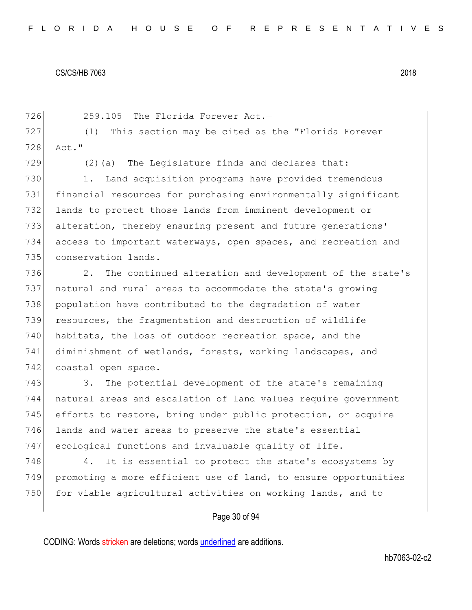726 259.105 The Florida Forever Act.-727 (1) This section may be cited as the "Florida Forever 728 Act." 729  $(2)$  (a) The Legislature finds and declares that: 730 1. Land acquisition programs have provided tremendous 731 financial resources for purchasing environmentally significant 732 lands to protect those lands from imminent development or 733 alteration, thereby ensuring present and future generations' 734 access to important waterways, open spaces, and recreation and 735 conservation lands. 736 2. The continued alteration and development of the state's 737 natural and rural areas to accommodate the state's growing 738 population have contributed to the degradation of water 739 resources, the fragmentation and destruction of wildlife 740 habitats, the loss of outdoor recreation space, and the 741 diminishment of wetlands, forests, working landscapes, and 742 coastal open space. 743 3. The potential development of the state's remaining 744 natural areas and escalation of land values require government 745 efforts to restore, bring under public protection, or acquire 746 lands and water areas to preserve the state's essential 747 ecological functions and invaluable quality of life.  $748$  4. It is essential to protect the state's ecosystems by 749 promoting a more efficient use of land, to ensure opportunities 750 for viable agricultural activities on working lands, and to

# Page 30 of 94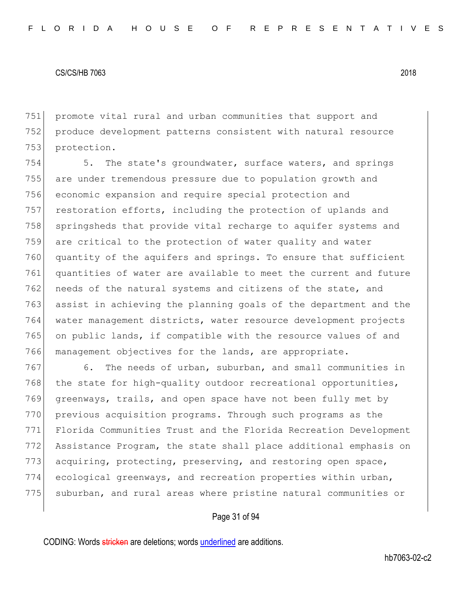751 promote vital rural and urban communities that support and 752 produce development patterns consistent with natural resource 753 protection.

754 5. The state's groundwater, surface waters, and springs 755 are under tremendous pressure due to population growth and 756 economic expansion and require special protection and 757 restoration efforts, including the protection of uplands and 758 springsheds that provide vital recharge to aquifer systems and 759 are critical to the protection of water quality and water 760 quantity of the aquifers and springs. To ensure that sufficient 761 quantities of water are available to meet the current and future 762 needs of the natural systems and citizens of the state, and 763 assist in achieving the planning goals of the department and the 764 water management districts, water resource development projects 765 on public lands, if compatible with the resource values of and 766 management objectives for the lands, are appropriate.

767 6. The needs of urban, suburban, and small communities in 768 the state for high-quality outdoor recreational opportunities, 769 greenways, trails, and open space have not been fully met by 770 previous acquisition programs. Through such programs as the 771 Florida Communities Trust and the Florida Recreation Development 772 Assistance Program, the state shall place additional emphasis on 773 acquiring, protecting, preserving, and restoring open space, 774 ecological greenways, and recreation properties within urban, 775 suburban, and rural areas where pristine natural communities or

# Page 31 of 94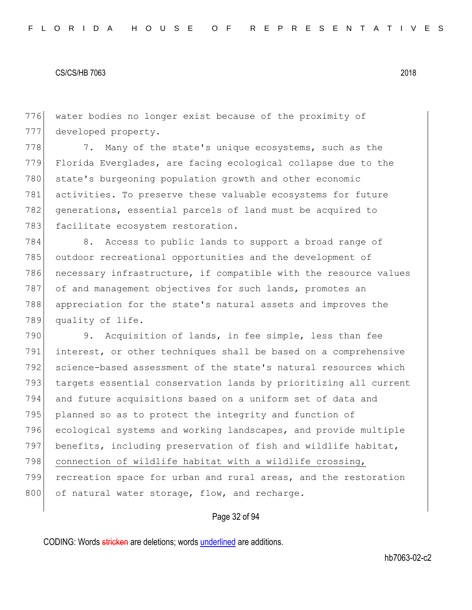776 water bodies no longer exist because of the proximity of 777 developed property.

778 7. Many of the state's unique ecosystems, such as the 779 Florida Everglades, are facing ecological collapse due to the 780 state's burgeoning population growth and other economic 781 activities. To preserve these valuable ecosystems for future 782 generations, essential parcels of land must be acquired to 783 facilitate ecosystem restoration.

784 8. Access to public lands to support a broad range of 785 outdoor recreational opportunities and the development of 786 necessary infrastructure, if compatible with the resource values 787 of and management objectives for such lands, promotes an 788 appreciation for the state's natural assets and improves the 789 quality of life.

 9. Acquisition of lands, in fee simple, less than fee interest, or other techniques shall be based on a comprehensive science-based assessment of the state's natural resources which 793 targets essential conservation lands by prioritizing all current and future acquisitions based on a uniform set of data and planned so as to protect the integrity and function of ecological systems and working landscapes, and provide multiple benefits, including preservation of fish and wildlife habitat, 798 connection of wildlife habitat with a wildlife crossing, recreation space for urban and rural areas, and the restoration 800 of natural water storage, flow, and recharge.

# Page 32 of 94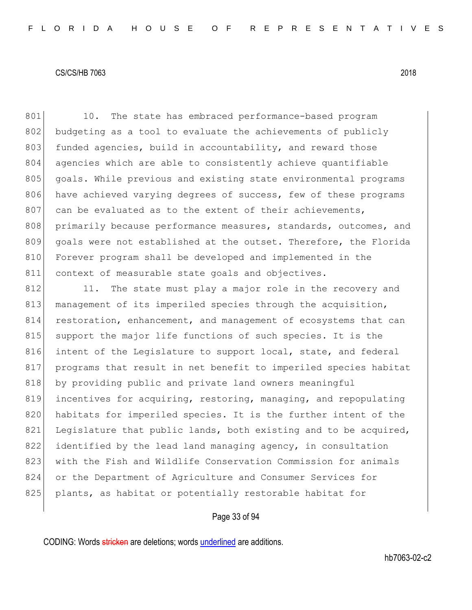801 10. The state has embraced performance-based program 802 budgeting as a tool to evaluate the achievements of publicly 803 funded agencies, build in accountability, and reward those 804 agencies which are able to consistently achieve quantifiable 805 goals. While previous and existing state environmental programs 806 have achieved varying degrees of success, few of these programs 807 can be evaluated as to the extent of their achievements, 808 primarily because performance measures, standards, outcomes, and 809 goals were not established at the outset. Therefore, the Florida 810 Forever program shall be developed and implemented in the 811 context of measurable state goals and objectives.

812 11. The state must play a major role in the recovery and 813 management of its imperiled species through the acquisition, 814 restoration, enhancement, and management of ecosystems that can 815 support the major life functions of such species. It is the 816 intent of the Legislature to support local, state, and federal 817 programs that result in net benefit to imperiled species habitat 818 by providing public and private land owners meaningful 819 incentives for acquiring, restoring, managing, and repopulating 820 habitats for imperiled species. It is the further intent of the 821 Legislature that public lands, both existing and to be acquired, 822 identified by the lead land managing agency, in consultation 823 with the Fish and Wildlife Conservation Commission for animals 824 or the Department of Agriculture and Consumer Services for 825 plants, as habitat or potentially restorable habitat for

# Page 33 of 94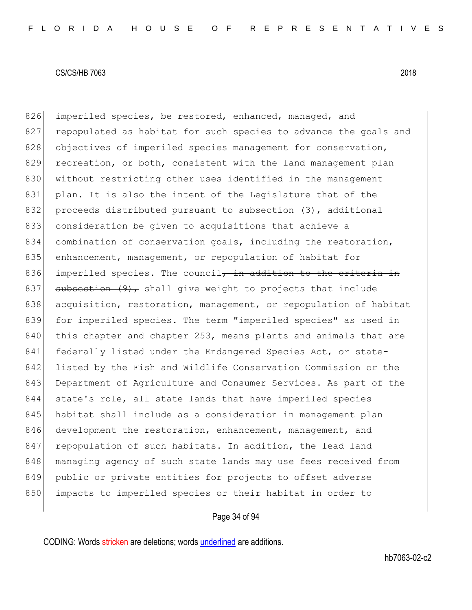826 imperiled species, be restored, enhanced, managed, and 827 repopulated as habitat for such species to advance the goals and 828 objectives of imperiled species management for conservation, 829 recreation, or both, consistent with the land management plan 830 without restricting other uses identified in the management 831 plan. It is also the intent of the Legislature that of the 832 proceeds distributed pursuant to subsection (3), additional 833 consideration be given to acquisitions that achieve a 834 combination of conservation goals, including the restoration, 835 enhancement, management, or repopulation of habitat for 836 imperiled species. The council, in addition to the criteria in 837 subsection  $(9)$ , shall give weight to projects that include 838 acquisition, restoration, management, or repopulation of habitat 839 for imperiled species. The term "imperiled species" as used in 840 this chapter and chapter 253, means plants and animals that are 841 federally listed under the Endangered Species Act, or state-842 listed by the Fish and Wildlife Conservation Commission or the 843 Department of Agriculture and Consumer Services. As part of the 844 state's role, all state lands that have imperiled species 845 habitat shall include as a consideration in management plan 846 development the restoration, enhancement, management, and 847 repopulation of such habitats. In addition, the lead land 848 managing agency of such state lands may use fees received from 849 public or private entities for projects to offset adverse 850 impacts to imperiled species or their habitat in order to

# Page 34 of 94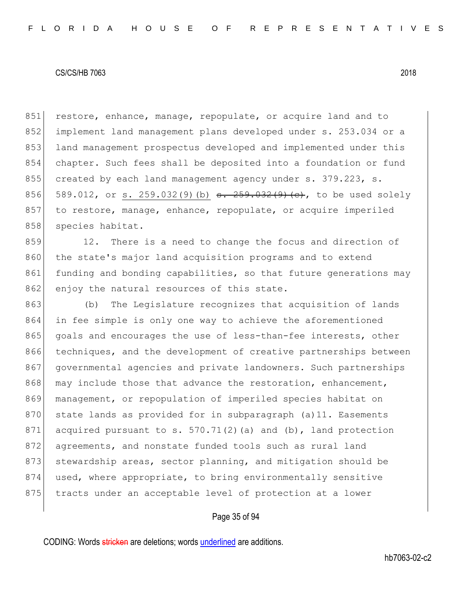851 restore, enhance, manage, repopulate, or acquire land and to 852 implement land management plans developed under s. 253.034 or a 853 land management prospectus developed and implemented under this 854 chapter. Such fees shall be deposited into a foundation or fund 855 created by each land management agency under s. 379.223, s. 856 589.012, or s. 259.032(9)(b)  $s. 259.032(9)$  (c), to be used solely 857 to restore, manage, enhance, repopulate, or acquire imperiled 858 species habitat.

859 12. There is a need to change the focus and direction of 860 the state's major land acquisition programs and to extend 861 funding and bonding capabilities, so that future generations may 862 enjoy the natural resources of this state.

863 (b) The Legislature recognizes that acquisition of lands 864 in fee simple is only one way to achieve the aforementioned 865 goals and encourages the use of less-than-fee interests, other 866 techniques, and the development of creative partnerships between 867 governmental agencies and private landowners. Such partnerships 868 may include those that advance the restoration, enhancement, 869 management, or repopulation of imperiled species habitat on 870 state lands as provided for in subparagraph (a)11. Easements 871 acquired pursuant to s.  $570.71(2)$  (a) and (b), land protection 872 agreements, and nonstate funded tools such as rural land 873 stewardship areas, sector planning, and mitigation should be 874 used, where appropriate, to bring environmentally sensitive 875 tracts under an acceptable level of protection at a lower

# Page 35 of 94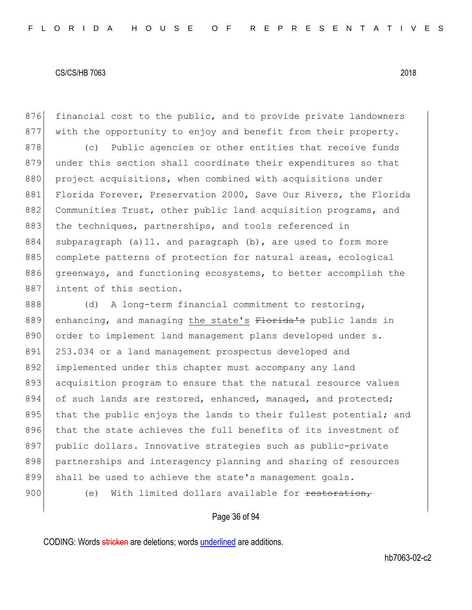876 financial cost to the public, and to provide private landowners 877 with the opportunity to enjoy and benefit from their property. 878 (c) Public agencies or other entities that receive funds 879 under this section shall coordinate their expenditures so that 880 project acquisitions, when combined with acquisitions under 881 Florida Forever, Preservation 2000, Save Our Rivers, the Florida 882 Communities Trust, other public land acquisition programs, and 883 the techniques, partnerships, and tools referenced in 884 subparagraph (a)11. and paragraph (b), are used to form more 885 complete patterns of protection for natural areas, ecological 886 greenways, and functioning ecosystems, to better accomplish the 887 intent of this section.

888 (d) A long-term financial commitment to restoring, 889 enhancing, and managing the state's Florida's public lands in 890 order to implement land management plans developed under s. 891 253.034 or a land management prospectus developed and 892 implemented under this chapter must accompany any land 893 acquisition program to ensure that the natural resource values 894 of such lands are restored, enhanced, managed, and protected; 895 that the public enjoys the lands to their fullest potential; and 896 that the state achieves the full benefits of its investment of 897 public dollars. Innovative strategies such as public-private 898 partnerships and interagency planning and sharing of resources 899 shall be used to achieve the state's management goals. 900 (e) With limited dollars available for restoration,

# Page 36 of 94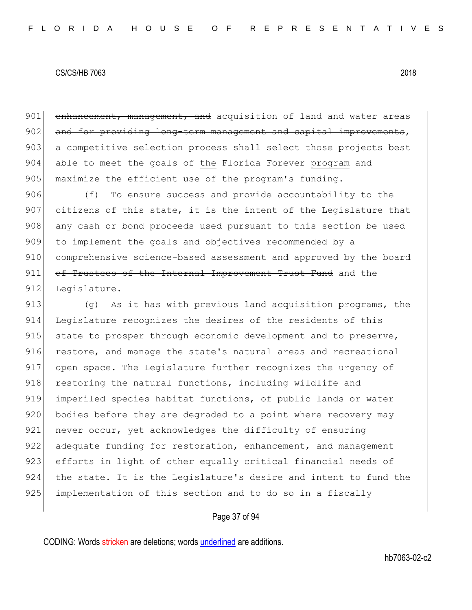901 enhancement, management, and acquisition of land and water areas 902 and for providing long-term management and capital improvements, 903 a competitive selection process shall select those projects best 904 able to meet the goals of the Florida Forever program and 905 maximize the efficient use of the program's funding.

906 (f) To ensure success and provide accountability to the 907 citizens of this state, it is the intent of the Legislature that 908 any cash or bond proceeds used pursuant to this section be used 909 to implement the goals and objectives recommended by a 910 comprehensive science-based assessment and approved by the board 911 of Trustees of the Internal Improvement Trust Fund and the 912 Legislature.

913  $(9)$  As it has with previous land acquisition programs, the 914 Legislature recognizes the desires of the residents of this 915 state to prosper through economic development and to preserve, 916 restore, and manage the state's natural areas and recreational 917 open space. The Legislature further recognizes the urgency of 918 restoring the natural functions, including wildlife and 919 imperiled species habitat functions, of public lands or water 920 bodies before they are degraded to a point where recovery may 921 never occur, yet acknowledges the difficulty of ensuring 922 adequate funding for restoration, enhancement, and management 923 efforts in light of other equally critical financial needs of 924 the state. It is the Legislature's desire and intent to fund the 925 implementation of this section and to do so in a fiscally

## Page 37 of 94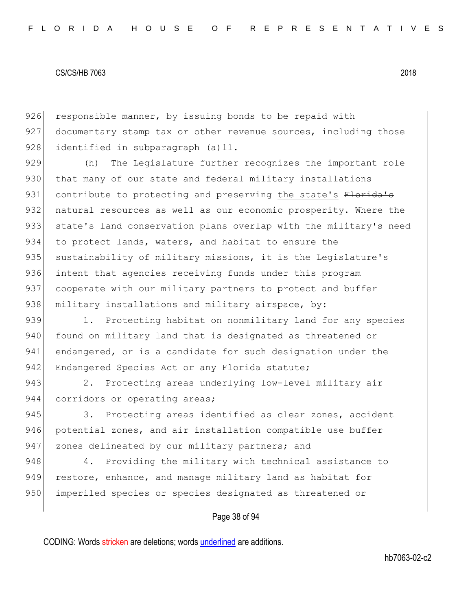926 responsible manner, by issuing bonds to be repaid with 927 documentary stamp tax or other revenue sources, including those 928 identified in subparagraph (a) 11.

929 (h) The Legislature further recognizes the important role 930 that many of our state and federal military installations 931 contribute to protecting and preserving the state's Florida's 932 natural resources as well as our economic prosperity. Where the 933 state's land conservation plans overlap with the military's need 934 to protect lands, waters, and habitat to ensure the 935 sustainability of military missions, it is the Legislature's 936 intent that agencies receiving funds under this program 937 cooperate with our military partners to protect and buffer 938 military installations and military airspace, by:

939 1. Protecting habitat on nonmilitary land for any species 940 found on military land that is designated as threatened or 941 endangered, or is a candidate for such designation under the 942 Endangered Species Act or any Florida statute;

943 2. Protecting areas underlying low-level military air 944 corridors or operating areas;

945 3. Protecting areas identified as clear zones, accident 946 potential zones, and air installation compatible use buffer 947 zones delineated by our military partners; and

948 4. Providing the military with technical assistance to 949 restore, enhance, and manage military land as habitat for 950 imperiled species or species designated as threatened or

## Page 38 of 94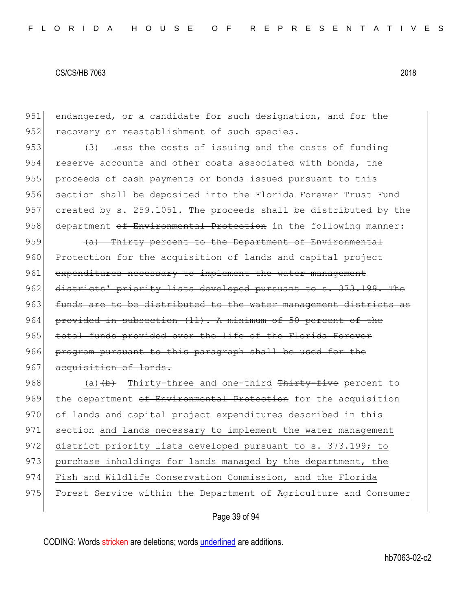951 endangered, or a candidate for such designation, and for the 952 recovery or reestablishment of such species.

953 (3) Less the costs of issuing and the costs of funding 954 reserve accounts and other costs associated with bonds, the 955 proceeds of cash payments or bonds issued pursuant to this 956 section shall be deposited into the Florida Forever Trust Fund 957 created by s. 259.1051. The proceeds shall be distributed by the 958 department of Environmental Protection in the following manner:

959  $(a)$  Thirty percent to the Department of Environmental 960 Protection for the acquisition of lands and capital project 961 expenditures necessary to implement the water management 962 districts' priority lists developed pursuant to s. 373.199. The 963 funds are to be distributed to the water management districts as 964 provided in subsection  $(11)$ . A minimum of 50 percent of the 965 total funds provided over the life of the Florida Forever 966 program pursuant to this paragraph shall be used for the 967 acquisition of lands.

968 (a)  $(b)$  Thirty-three and one-third Thirty-five percent to 969 the department of Environmental Protection for the acquisition 970 of lands and capital project expenditures described in this 971 section and lands necessary to implement the water management 972 district priority lists developed pursuant to s. 373.199; to 973 purchase inholdings for lands managed by the department, the 974 Fish and Wildlife Conservation Commission, and the Florida 975 Forest Service within the Department of Agriculture and Consumer

## Page 39 of 94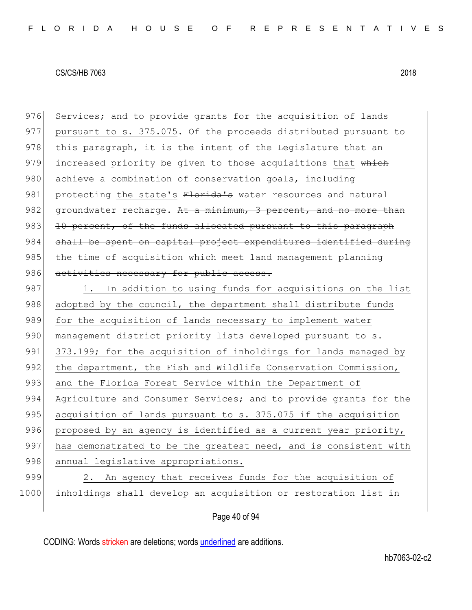976 Services; and to provide grants for the acquisition of lands 977 pursuant to s. 375.075. Of the proceeds distributed pursuant to 978 this paragraph, it is the intent of the Legislature that an 979 increased priority be given to those acquisitions that which 980 achieve a combination of conservation goals, including 981 protecting the state's Florida's water resources and natural 982 groundwater recharge. At a minimum, 3 percent, and no more than  $983$  10 percent, of the funds allocated pursuant to this paragraph 984 shall be spent on capital project expenditures identified during 985 the time of acquisition which meet land management planning 986 activities necessary for public access. 987 1. In addition to using funds for acquisitions on the list

988 adopted by the council, the department shall distribute funds 989 for the acquisition of lands necessary to implement water 990 management district priority lists developed pursuant to s. 991 373.199; for the acquisition of inholdings for lands managed by 992 the department, the Fish and Wildlife Conservation Commission, 993 and the Florida Forest Service within the Department of 994 Agriculture and Consumer Services; and to provide grants for the 995 acquisition of lands pursuant to s. 375.075 if the acquisition 996 proposed by an agency is identified as a current year priority, 997 has demonstrated to be the greatest need, and is consistent with 998 annual legislative appropriations. 999 2. An agency that receives funds for the acquisition of

1000 inholdings shall develop an acquisition or restoration list in

Page 40 of 94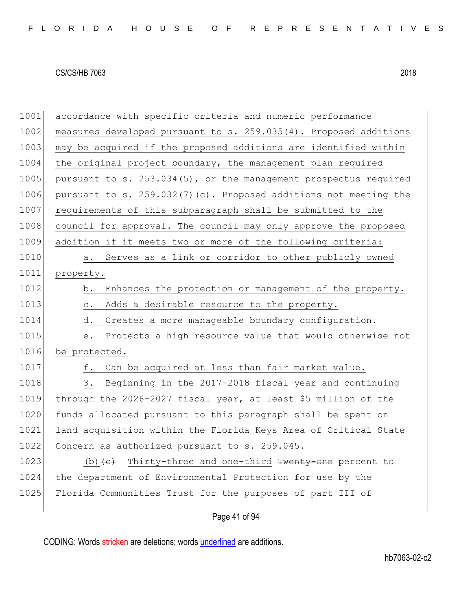| 1001 | accordance with specific criteria and numeric performance               |
|------|-------------------------------------------------------------------------|
| 1002 | measures developed pursuant to s. 259.035(4). Proposed additions        |
| 1003 | may be acquired if the proposed additions are identified within         |
| 1004 | the original project boundary, the management plan required             |
| 1005 | pursuant to s. 253.034(5), or the management prospectus required        |
| 1006 | pursuant to s. 259.032(7)(c). Proposed additions not meeting the        |
| 1007 | requirements of this subparagraph shall be submitted to the             |
| 1008 | council for approval. The council may only approve the proposed         |
| 1009 | addition if it meets two or more of the following criteria:             |
| 1010 | Serves as a link or corridor to other publicly owned<br>a.              |
| 1011 | property.                                                               |
| 1012 | Enhances the protection or management of the property.<br>b.            |
| 1013 | Adds a desirable resource to the property.<br>$\mathsf{C}$ .            |
| 1014 | d. Creates a more manageable boundary configuration.                    |
| 1015 | Protects a high resource value that would otherwise not<br>е.           |
| 1016 | be protected.                                                           |
| 1017 | Can be acquired at less than fair market value.<br>f.                   |
| 1018 | Beginning in the 2017-2018 fiscal year and continuing<br>3.             |
| 1019 | through the 2026-2027 fiscal year, at least \$5 million of the          |
| 1020 | funds allocated pursuant to this paragraph shall be spent on            |
| 1021 | land acquisition within the Florida Keys Area of Critical State         |
| 1022 | Concern as authorized pursuant to s. 259.045.                           |
| 1023 | (b) $\left\{e\right\}$ Thirty-three and one-third Twenty one percent to |
| 1024 | the department of Environmental Protection for use by the               |
| 1025 | Florida Communities Trust for the purposes of part III of               |
|      | Page 41 of 94                                                           |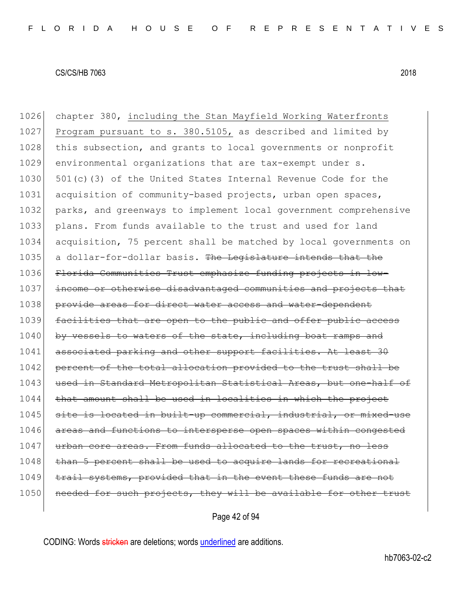1026 chapter 380, including the Stan Mayfield Working Waterfronts 1027 Program pursuant to s. 380.5105, as described and limited by 1028 this subsection, and grants to local governments or nonprofit 1029 environmental organizations that are tax-exempt under s. 1030  $\vert$  501(c)(3) of the United States Internal Revenue Code for the 1031 acquisition of community-based projects, urban open spaces, 1032 parks, and greenways to implement local government comprehensive 1033 plans. From funds available to the trust and used for land 1034 acquisition, 75 percent shall be matched by local governments on 1035 a dollar-for-dollar basis. The Legislature intends that the 1036 Florida Communities Trust emphasize funding projects in low-1037 income or otherwise disadvantaged communities and projects that 1038 provide areas for direct water access and water-dependent 1039 facilities that are open to the public and offer public access 1040 by vessels to waters of the state, including boat ramps and 1041 associated parking and other support facilities. At least 30 1042 percent of the total allocation provided to the trust shall be 1043 used in Standard Metropolitan Statistical Areas, but one-half of  $1044$  that amount shall be used in localities in which the project 1045 site is located in built-up commercial, industrial, or mixed-use 1046 areas and functions to intersperse open spaces within congested 1047 urban core areas. From funds allocated to the trust, no less 1048 than 5 percent shall be used to acquire lands for recreational 1049 trail systems, provided that in the event these funds are not 1050 needed for such projects, they will be available for other trust

Page 42 of 94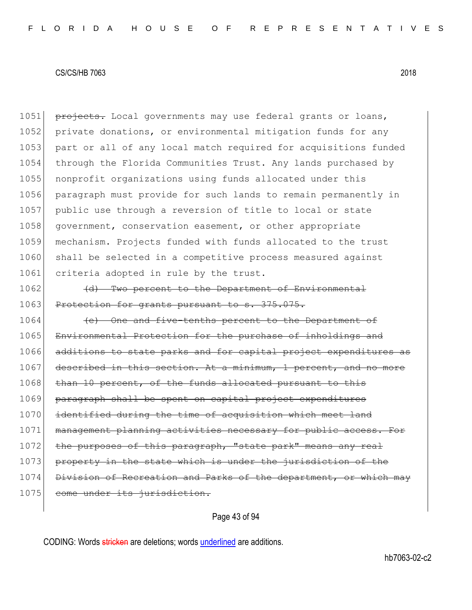1051 projects. Local governments may use federal grants or loans, 1052 private donations, or environmental mitigation funds for any 1053 part or all of any local match required for acquisitions funded 1054 through the Florida Communities Trust. Any lands purchased by 1055 nonprofit organizations using funds allocated under this 1056 paragraph must provide for such lands to remain permanently in 1057 public use through a reversion of title to local or state 1058 government, conservation easement, or other appropriate 1059 mechanism. Projects funded with funds allocated to the trust 1060 shall be selected in a competitive process measured against 1061 criteria adopted in rule by the trust.

1062 (d) Two percent to the Department of Environmental 1063 Protection for grants pursuant to s. 375.075.

1064 **(e)** One and five-tenths percent to the Department of 1065 Environmental Protection for the purchase of inholdings and 1066 additions to state parks and for capital project expenditures 1067 described in this section. At a minimum, 1 percent, and no more 1068 than 10 percent, of the funds allocated pursuant to 1069 paragraph shall be spent on capital project expenditures 1070 identified during the time of acquisition which meet land 1071 management planning activities necessary for public access. For 1072 the purposes of this paragraph, "state park" means any real 1073 property in the state which is under the jurisdiction of the 1074 Division of Recreation and Parks of the department, or which may 1075 come under its jurisdiction.

Page 43 of 94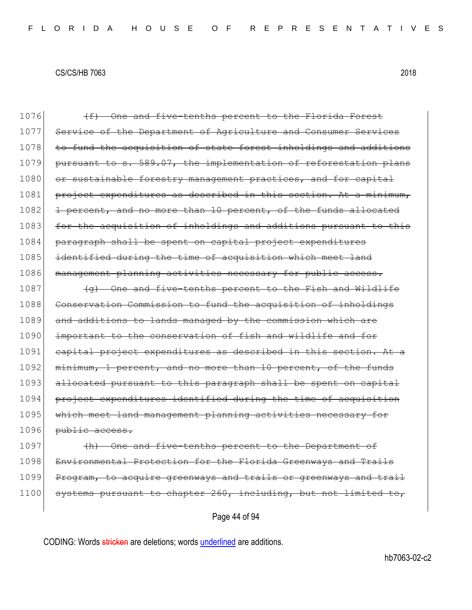| 1076 | (f) One and five-tenths percent to the Florida Forest            |
|------|------------------------------------------------------------------|
| 1077 | Service of the Department of Agriculture and Consumer Services   |
| 1078 | to fund the acquisition of state forest inholdings and additions |
| 1079 | pursuant to s. 589.07, the implementation of reforestation plans |
| 1080 | or sustainable forestry management practices, and for capital    |
| 1081 | project expenditures as described in this section. At a minimum, |
| 1082 | 1 percent, and no more than 10 percent, of the funds allocated   |
| 1083 | for the acquisition of inholdings and additions pursuant to this |
| 1084 | paragraph shall be spent on capital project expenditures         |
| 1085 | identified during the time of acquisition which meet land        |
| 1086 | management planning activities necessary for public access.      |
| 1087 | (g) One and five-tenths percent to the Fish and Wildlife         |
| 1088 | Conservation Commission to fund the acquisition of inholdings    |
| 1089 | and additions to lands managed by the commission which are       |
| 1090 | important to the conservation of fish and wildlife and for       |
| 1091 | capital project expenditures as described in this section. At a  |
| 1092 | minimum, 1 percent, and no more than 10 percent, of the funds    |
| 1093 | allocated pursuant to this paragraph shall be spent on capital   |
| 1094 | project expenditures identified during the time of acquisition   |
| 1095 | which meet land management planning activities necessary for     |
| 1096 | public access.                                                   |
| 1097 | (h) One and five-tenths percent to the Department of             |
| 1098 | Environmental Protection for the Florida Greenways and Trails    |
| 1099 | Program, to acquire greenways and trails or greenways and trail  |
| 1100 | systems pursuant to chapter 260, including, but not limited to,  |
|      |                                                                  |

Page 44 of 94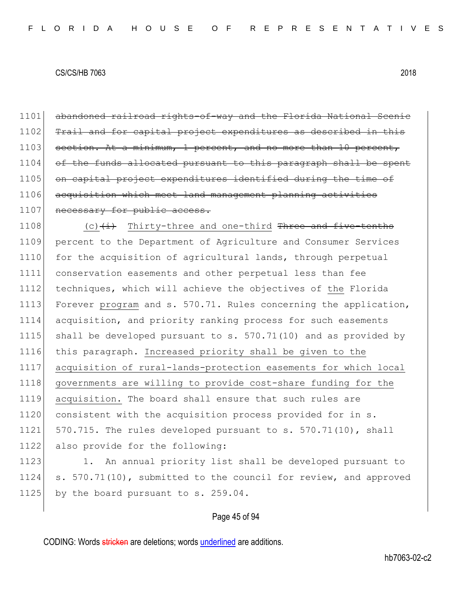1101 abandoned railroad rights-of-way and the Florida National Scenic 1102 Trail and for capital project expenditures as described in this 1103 section. At a minimum, 1 percent, and no more than 10 percent, 1104 of the funds allocated pursuant to this paragraph shall be spent 1105 on capital project expenditures identified during the time of 1106 acquisition which meet land management planning activities 1107 necessary for public access.

 $(c)$   $(i)$  Thirty-three and one-third Three and five-tenths percent to the Department of Agriculture and Consumer Services 1110 for the acquisition of agricultural lands, through perpetual conservation easements and other perpetual less than fee techniques, which will achieve the objectives of the Florida 1113 Forever program and s. 570.71. Rules concerning the application, acquisition, and priority ranking process for such easements 1115 shall be developed pursuant to  $s. 570.71(10)$  and as provided by this paragraph. Increased priority shall be given to the acquisition of rural-lands-protection easements for which local governments are willing to provide cost-share funding for the acquisition. The board shall ensure that such rules are 1120 consistent with the acquisition process provided for in s.  $\mid$  570.715. The rules developed pursuant to s. 570.71(10), shall also provide for the following:

1123 1. An annual priority list shall be developed pursuant to 1124 s. 570.71(10), submitted to the council for review, and approved 1125 by the board pursuant to s. 259.04.

## Page 45 of 94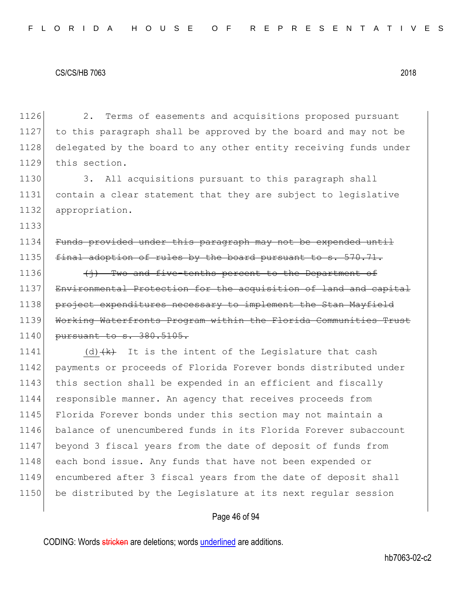1133

1126 2. Terms of easements and acquisitions proposed pursuant 1127 to this paragraph shall be approved by the board and may not be 1128 delegated by the board to any other entity receiving funds under 1129 this section.

1130 3. All acquisitions pursuant to this paragraph shall 1131 contain a clear statement that they are subject to legislative 1132 appropriation.

1134 Funds provided under this paragraph may not be expended until 1135  $\int$  final adoption of rules by the board pursuant to s. 570.71.

1136  $\left\{\frac{1}{1}, \frac{1}{1}\right\}$  Two and five-tenths percent to the Department of 1137 Environmental Protection for the acquisition of land and capital 1138 project expenditures necessary to implement the Stan Mayfield 1139 Working Waterfronts Program within the Florida Communities Trust 1140 <del>pursuant to s. 380.5105.</del>

1141 (d) $\{k\}$  It is the intent of the Legislature that cash 1142 payments or proceeds of Florida Forever bonds distributed under 1143 this section shall be expended in an efficient and fiscally 1144 responsible manner. An agency that receives proceeds from 1145 Florida Forever bonds under this section may not maintain a 1146 balance of unencumbered funds in its Florida Forever subaccount 1147 beyond 3 fiscal years from the date of deposit of funds from 1148 each bond issue. Any funds that have not been expended or 1149 encumbered after 3 fiscal years from the date of deposit shall 1150 be distributed by the Legislature at its next regular session

## Page 46 of 94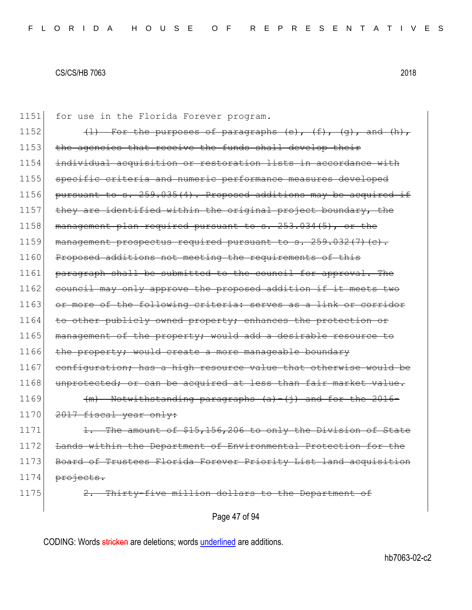1151 for use in the Florida Forever program. 1152  $(l)$  For the purposes of paragraphs (e),  $(f)$ ,  $(q)$ , and  $(h)$ , 1153 the agencies that receive the funds shall develop their 1154 individual acquisition or restoration lists in accordance with 1155 specific criteria and numeric performance measures developed 1156 pursuant to s.  $259.035(4)$ . Proposed additions may be acquired if 1157 they are identified within the original project boundary, the 1158 | management plan required pursuant to s. 253.034(5), or the 1159 management prospectus required pursuant to s.  $259.032(7)(c)$ . 1160 Proposed additions not meeting the requirements of this 1161 paragraph shall be submitted to the council for approval. The 1162 council may only approve the proposed addition if it meets two 1163 or more of the following criteria: serves as a link or corridor 1164 to other publicly owned property; enhances the protection or 1165 management of the property; would add a desirable resource to 1166 the property; would create a more manageable boundary 1167 configuration; has a high resource value that otherwise would be 1168 unprotected; or can be acquired at less than fair market value. 1169  $(m)$  Notwithstanding paragraphs  $(a) - (i)$  and for the 2016- $1170$   $2017$  fiscal year only:  $1171$  1. The amount of \$15,156,206 to only the Division of State 1172 Lands within the Department of Environmental Protection for the 1173 Board of Trustees Florida Forever Priority List land acquisition 1174 projects. 1175 2. Thirty-five million dollars to the Department of

Page 47 of 94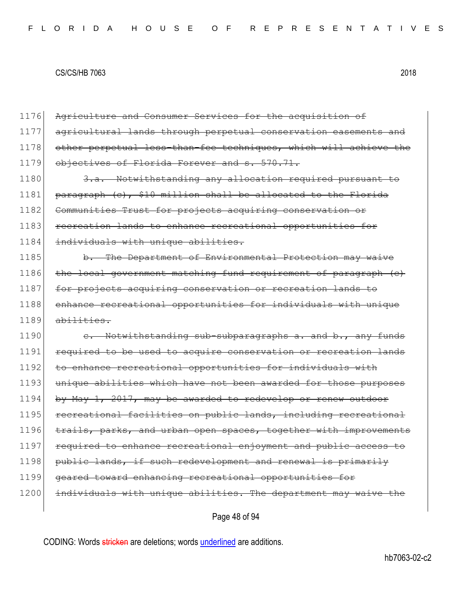| 1176 | Agriculture and Consumer Services for the acquisition of         |
|------|------------------------------------------------------------------|
| 1177 | agricultural lands through perpetual conservation easements and  |
| 1178 | other perpetual less-than-fee techniques, which will achieve the |
| 1179 | objectives of Florida Forever and s. 570.71.                     |
| 1180 | 3.a. Notwithstanding any allocation required pursuant to         |
| 1181 | paragraph (c), \$10 million shall be allocated to the Florida    |
| 1182 | Communities Trust for projects acquiring conservation or         |
| 1183 | recreation lands to enhance recreational opportunities for       |
| 1184 | individuals with unique abilities.                               |
| 1185 | b. The Department of Environmental Protection may waive          |
| 1186 | the local government matching fund requirement of paragraph (e)  |
| 1187 | for projects acquiring conservation or recreation lands to       |
| 1188 | enhance recreational opportunities for individuals with unique   |
|      |                                                                  |
| 1189 | $ab$ ilities.                                                    |
| 1190 | e. Notwithstanding sub-subparagraphs a. and b., any funds        |
| 1191 | required to be used to acquire conservation or recreation lands  |
| 1192 | to enhance recreational opportunities for individuals with       |
| 1193 | unique abilities which have not been awarded for those purposes  |
| 1194 | by May 1, 2017, may be awarded to redevelop or renew outdoor     |
| 1195 | recreational facilities on public lands, including recreational  |
| 1196 | trails, parks, and urban open spaces, together with improvements |
| 1197 | required to enhance recreational enjoyment and public access to  |
| 1198 | public lands, if such redevelopment and renewal is primarily     |
| 1199 | geared toward enhancing recreational opportunities for           |
| 1200 | individuals with unique abilities. The department may waive the  |

Page 48 of 94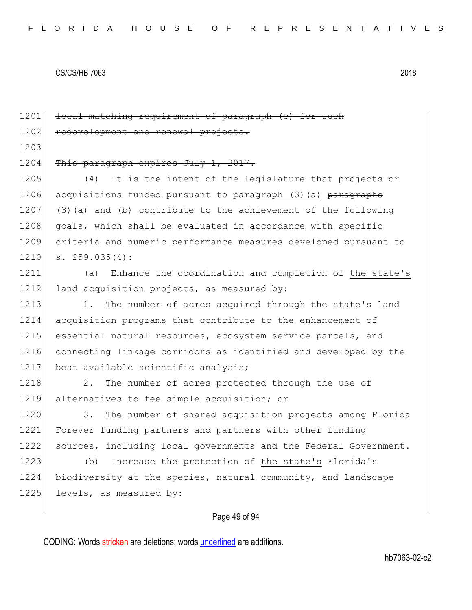1201 <del>local matching requirement of paragraph (c) for such</del> 1202 redevelopment and renewal projects. 1203 1204 This paragraph expires July 1, 2017. 1205 (4) It is the intent of the Legislature that projects or 1206 acquisitions funded pursuant to paragraph (3)(a) paragraphs 1207  $(3)(a)$  and  $(b)$  contribute to the achievement of the following 1208 goals, which shall be evaluated in accordance with specific 1209 criteria and numeric performance measures developed pursuant to  $1210$  s.  $259.035(4)$ : 1211 (a) Enhance the coordination and completion of the state's 1212 land acquisition projects, as measured by: 1213 1. The number of acres acquired through the state's land 1214 acquisition programs that contribute to the enhancement of 1215 essential natural resources, ecosystem service parcels, and 1216 connecting linkage corridors as identified and developed by the 1217 best available scientific analysis; 1218 2. The number of acres protected through the use of 1219 alternatives to fee simple acquisition; or 1220 3. The number of shared acquisition projects among Florida 1221 Forever funding partners and partners with other funding 1222 sources, including local governments and the Federal Government. 1223 (b) Increase the protection of the state's Florida's 1224 biodiversity at the species, natural community, and landscape 1225 levels, as measured by:

# Page 49 of 94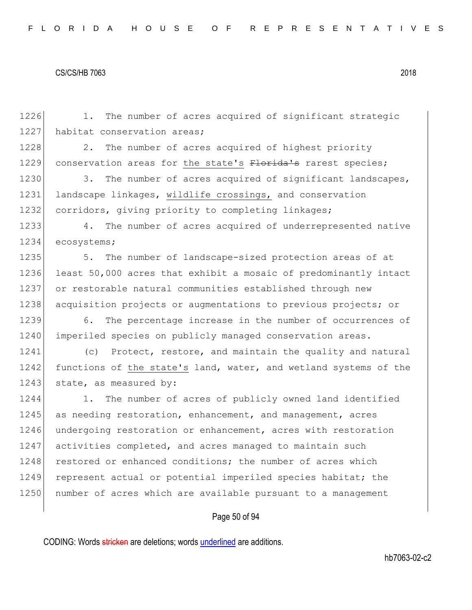1226 1. The number of acres acquired of significant strategic 1227 habitat conservation areas; 1228 2. The number of acres acquired of highest priority 1229 conservation areas for the state's Florida's rarest species; 1230 3. The number of acres acquired of significant landscapes, 1231 landscape linkages, wildlife crossings, and conservation 1232 corridors, giving priority to completing linkages; 1233 4. The number of acres acquired of underrepresented native 1234 ecosystems; 1235 5. The number of landscape-sized protection areas of at 1236 least 50,000 acres that exhibit a mosaic of predominantly intact 1237 or restorable natural communities established through new 1238 acquisition projects or augmentations to previous projects; or 1239 6. The percentage increase in the number of occurrences of 1240 imperiled species on publicly managed conservation areas. 1241 (c) Protect, restore, and maintain the quality and natural 1242 functions of the state's land, water, and wetland systems of the 1243 state, as measured by: 1244 1. The number of acres of publicly owned land identified 1245 as needing restoration, enhancement, and management, acres 1246 undergoing restoration or enhancement, acres with restoration 1247 activities completed, and acres managed to maintain such 1248 restored or enhanced conditions; the number of acres which 1249 represent actual or potential imperiled species habitat; the 1250 number of acres which are available pursuant to a management

# Page 50 of 94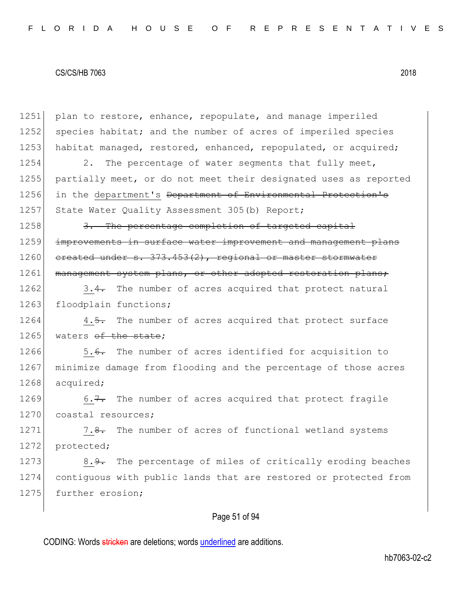1251 plan to restore, enhance, repopulate, and manage imperiled 1252 species habitat; and the number of acres of imperiled species 1253 habitat managed, restored, enhanced, repopulated, or acquired; 1254 2. The percentage of water segments that fully meet, 1255 partially meet, or do not meet their designated uses as reported 1256 in the department's <del>Department of Environmental Protection's</del> 1257 State Water Quality Assessment 305 (b) Report; 1258 3. The percentage completion of targeted capital 1259 improvements in surface water improvement and management plans 1260 created under s. 373.453(2), regional or master stormwater 1261 management system plans, or other adopted restoration plans; 1262 3.4. The number of acres acquired that protect natural 1263 floodplain functions; 1264 4.5. The number of acres acquired that protect surface 1265 waters of the state: 1266 5.6. The number of acres identified for acquisition to 1267 minimize damage from flooding and the percentage of those acres 1268 acquired; 1269 6.7. The number of acres acquired that protect fragile 1270 coastal resources; 1271 7.8. The number of acres of functional wetland systems 1272 protected; 1273 8.9. The percentage of miles of critically eroding beaches 1274 contiguous with public lands that are restored or protected from 1275 further erosion;

# Page 51 of 94

CODING: Words stricken are deletions; words underlined are additions.

hb7063-02-c2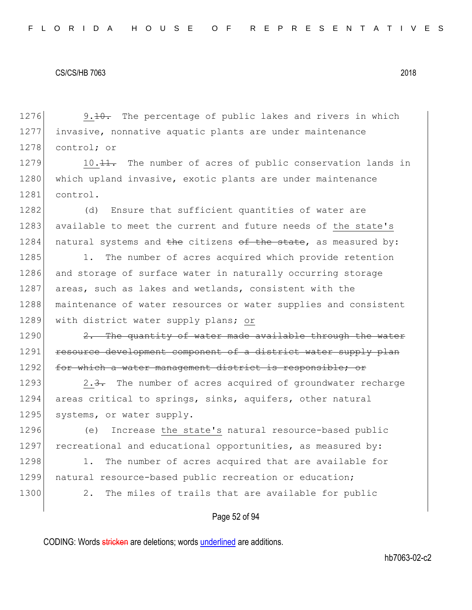1276 9.10. The percentage of public lakes and rivers in which 1277 invasive, nonnative aquatic plants are under maintenance 1278 control; or

1279 10.<del>11.</del> The number of acres of public conservation lands in 1280 which upland invasive, exotic plants are under maintenance 1281 control.

1282 (d) Ensure that sufficient quantities of water are 1283 available to meet the current and future needs of the state's 1284 natural systems and the citizens of the state, as measured by:

1285 1. The number of acres acquired which provide retention 1286 and storage of surface water in naturally occurring storage 1287 areas, such as lakes and wetlands, consistent with the 1288 | maintenance of water resources or water supplies and consistent 1289 with district water supply plans; or

 $1290$  2. The quantity of water made available through the water 1291 resource development component of a district water supply plan 1292 for which a water management district is responsible; or

1293 2.3. The number of acres acquired of groundwater recharge 1294 areas critical to springs, sinks, aquifers, other natural 1295 systems, or water supply.

1296 (e) Increase the state's natural resource-based public 1297 recreational and educational opportunities, as measured by:

1298 1. The number of acres acquired that are available for 1299 natural resource-based public recreation or education; 1300 2. The miles of trails that are available for public

## Page 52 of 94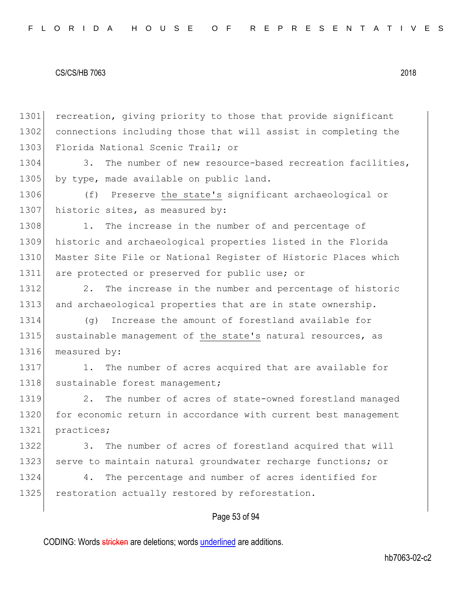1301 recreation, giving priority to those that provide significant 1302 connections including those that will assist in completing the 1303 Florida National Scenic Trail; or

1304 3. The number of new resource-based recreation facilities, 1305 by type, made available on public land.

1306 (f) Preserve the state's significant archaeological or 1307 historic sites, as measured by:

1308 1. The increase in the number of and percentage of 1309 historic and archaeological properties listed in the Florida 1310 Master Site File or National Register of Historic Places which 1311 are protected or preserved for public use; or

1312 2. The increase in the number and percentage of historic 1313 and archaeological properties that are in state ownership.

1314 (g) Increase the amount of forestland available for 1315 sustainable management of the state's natural resources, as 1316 measured by:

1317 1. The number of acres acquired that are available for 1318 sustainable forest management;

1319 2. The number of acres of state-owned forestland managed 1320 for economic return in accordance with current best management 1321 practices;

1322 3. The number of acres of forestland acquired that will 1323 serve to maintain natural groundwater recharge functions; or

1324 4. The percentage and number of acres identified for 1325 restoration actually restored by reforestation.

## Page 53 of 94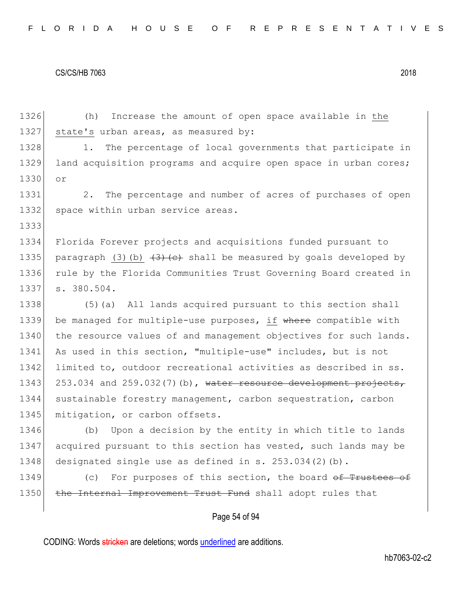1333

1326 (h) Increase the amount of open space available in the 1327 state's urban areas, as measured by:

1328 1. The percentage of local governments that participate in 1329 land acquisition programs and acquire open space in urban cores; 1330 or

1331 2. The percentage and number of acres of purchases of open 1332 space within urban service areas.

1334 Florida Forever projects and acquisitions funded pursuant to 1335 paragraph (3)(b)  $\left(3\right)$  (e) shall be measured by goals developed by 1336 rule by the Florida Communities Trust Governing Board created in 1337 s. 380.504.

1338 (5)(a) All lands acquired pursuant to this section shall 1339 be managed for multiple-use purposes, if where compatible with 1340 the resource values of and management objectives for such lands. 1341 As used in this section, "multiple-use" includes, but is not 1342 limited to, outdoor recreational activities as described in ss. 1343 253.034 and 259.032(7)(b), water resource development projects, 1344 sustainable forestry management, carbon sequestration, carbon 1345 mitigation, or carbon offsets.

1346 (b) Upon a decision by the entity in which title to lands 1347 acquired pursuant to this section has vested, such lands may be 1348 designated single use as defined in s. 253.034(2)(b).

1349 (c) For purposes of this section, the board of Trustees of 1350 the Internal Improvement Trust Fund shall adopt rules that

## Page 54 of 94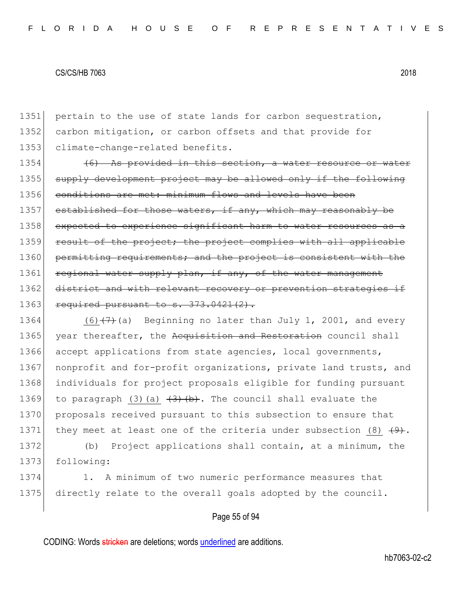1351 pertain to the use of state lands for carbon sequestration, 1352 carbon mitigation, or carbon offsets and that provide for 1353 climate-change-related benefits.

1354  $(6)$  As provided in this section, a water resource 1355 supply development project may be allowed only if the following 1356 conditions are met: minimum flows and levels have been 1357 established for those waters, if any, which may reasonably be 1358 expected to experience significant harm to water resources as a 1359 result of the project; the project complies with all applicable 1360 permitting requirements; and the project is consistent with the 1361 regional water supply plan, if any, of the water management 1362 district and with relevant recovery or prevention strategies if 1363 required pursuant to  $s. 373.0421(2)$ .

1364 (6) $(7)$  (a) Beginning no later than July 1, 2001, and every 1365 year thereafter, the Acquisition and Restoration council shall 1366 accept applications from state agencies, local governments, 1367 nonprofit and for-profit organizations, private land trusts, and 1368 individuals for project proposals eligible for funding pursuant 1369 to paragraph (3)(a)  $\left(3\right)$  (b). The council shall evaluate the 1370 proposals received pursuant to this subsection to ensure that 1371 they meet at least one of the criteria under subsection (8)  $\left(9\right)$ .

1372 (b) Project applications shall contain, at a minimum, the 1373 following:

1374 1. A minimum of two numeric performance measures that 1375 directly relate to the overall goals adopted by the council.

## Page 55 of 94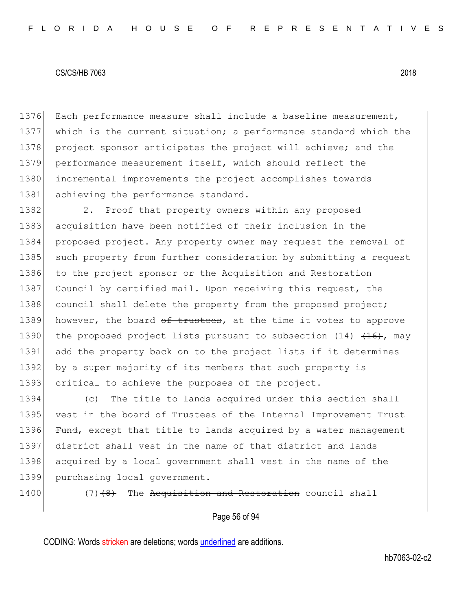1376 Each performance measure shall include a baseline measurement, 1377 which is the current situation; a performance standard which the 1378 project sponsor anticipates the project will achieve; and the 1379 performance measurement itself, which should reflect the 1380 incremental improvements the project accomplishes towards 1381 achieving the performance standard.

1382 2. Proof that property owners within any proposed 1383 acquisition have been notified of their inclusion in the 1384 proposed project. Any property owner may request the removal of 1385 such property from further consideration by submitting a request 1386 to the project sponsor or the Acquisition and Restoration 1387 Council by certified mail. Upon receiving this request, the 1388 council shall delete the property from the proposed project; 1389 however, the board  $\theta$  trustees, at the time it votes to approve 1390 the proposed project lists pursuant to subsection (14)  $(14)$ , may 1391 add the property back on to the project lists if it determines 1392 by a super majority of its members that such property is 1393 critical to achieve the purposes of the project.

1394 (c) The title to lands acquired under this section shall 1395 vest in the board of Trustees of the Internal Improvement Trust 1396 Fund, except that title to lands acquired by a water management 1397 district shall vest in the name of that district and lands 1398 acquired by a local government shall vest in the name of the 1399 purchasing local government.

 $1400$  (7) $(8)$  The Acquisition and Restoration council shall

## Page 56 of 94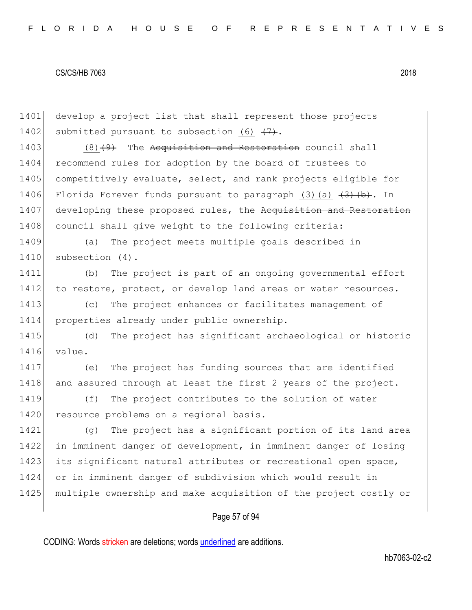Page 57 of 94 1401 develop a project list that shall represent those projects 1402 submitted pursuant to subsection (6)  $\{7\}$ .  $1403$  (8)(9) The Acquisition and Restoration council shall 1404 recommend rules for adoption by the board of trustees to 1405 competitively evaluate, select, and rank projects eligible for 1406 Florida Forever funds pursuant to paragraph (3)(a)  $\left(3\right)$  (b). In 1407 developing these proposed rules, the Acquisition and Restoration 1408 council shall give weight to the following criteria: 1409 (a) The project meets multiple goals described in 1410 subsection (4). 1411 (b) The project is part of an ongoing governmental effort 1412 to restore, protect, or develop land areas or water resources. 1413 (c) The project enhances or facilitates management of 1414 properties already under public ownership. 1415 (d) The project has significant archaeological or historic 1416 value. 1417 (e) The project has funding sources that are identified 1418 and assured through at least the first 2 years of the project. 1419 (f) The project contributes to the solution of water 1420 resource problems on a regional basis. 1421 (g) The project has a significant portion of its land area 1422 in imminent danger of development, in imminent danger of losing 1423 its significant natural attributes or recreational open space, 1424 or in imminent danger of subdivision which would result in 1425 multiple ownership and make acquisition of the project costly or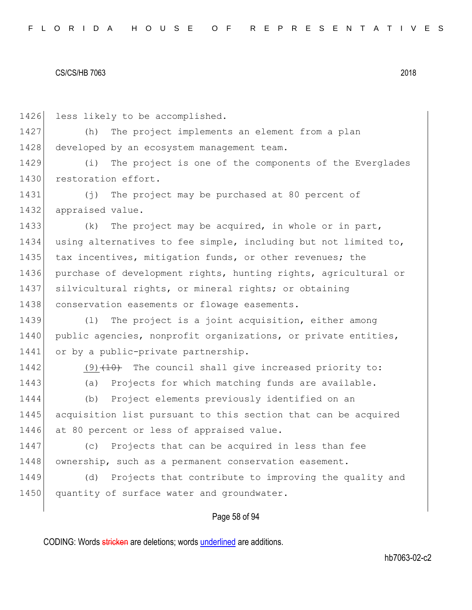1426 less likely to be accomplished.

1427 (h) The project implements an element from a plan 1428 developed by an ecosystem management team.

1429 (i) The project is one of the components of the Everglades 1430 restoration effort.

1431 (j) The project may be purchased at 80 percent of 1432 appraised value.

1433 (k) The project may be acquired, in whole or in part, 1434 using alternatives to fee simple, including but not limited to, 1435 tax incentives, mitigation funds, or other revenues; the 1436 purchase of development rights, hunting rights, agricultural or 1437 silvicultural rights, or mineral rights; or obtaining 1438 conservation easements or flowage easements.

1439 (l) The project is a joint acquisition, either among 1440 public agencies, nonprofit organizations, or private entities, 1441 or by a public-private partnership.

 $1442$  (9)  $\left(10\right)$  The council shall give increased priority to: 1443 (a) Projects for which matching funds are available.

1444 (b) Project elements previously identified on an 1445 acquisition list pursuant to this section that can be acquired 1446 at 80 percent or less of appraised value.

1447 (c) Projects that can be acquired in less than fee 1448 ownership, such as a permanent conservation easement.

1449 (d) Projects that contribute to improving the quality and 1450 quantity of surface water and groundwater.

## Page 58 of 94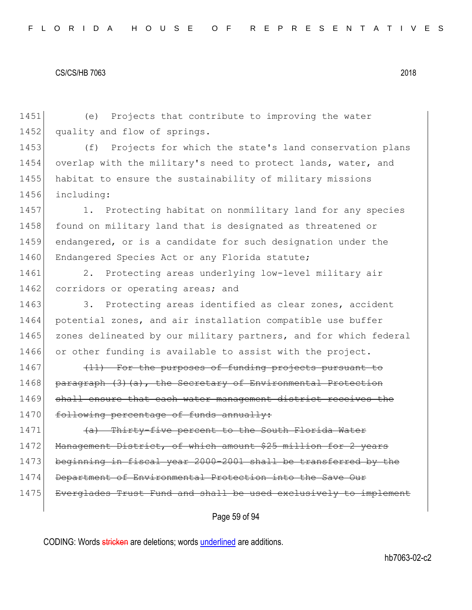1451 (e) Projects that contribute to improving the water 1452 quality and flow of springs.

1453 (f) Projects for which the state's land conservation plans 1454 overlap with the military's need to protect lands, water, and 1455 habitat to ensure the sustainability of military missions 1456 including:

1457 1. Protecting habitat on nonmilitary land for any species 1458 found on military land that is designated as threatened or 1459 endangered, or is a candidate for such designation under the 1460 Endangered Species Act or any Florida statute;

1461 2. Protecting areas underlying low-level military air 1462 corridors or operating areas; and

1463 3. Protecting areas identified as clear zones, accident 1464 potential zones, and air installation compatible use buffer 1465 zones delineated by our military partners, and for which federal 1466 or other funding is available to assist with the project.

 $1467$  (11) For the purposes of funding projects pursuant 1468 paragraph  $(3)$   $(a)$ , the Secretary of Environmental Protection 1469 shall ensure that each water management district receives the 1470 following percentage of funds annually:

 $1471$  (a) Thirty-five percent to the South Florida Water 1472 Management District, of which amount \$25 million for 2 years 1473 beginning in fiscal year 2000-2001 shall be transferred by the 1474 Department of Environmental Protection into the Save Our 1475 Everglades Trust Fund and shall be used exclusively to implement

Page 59 of 94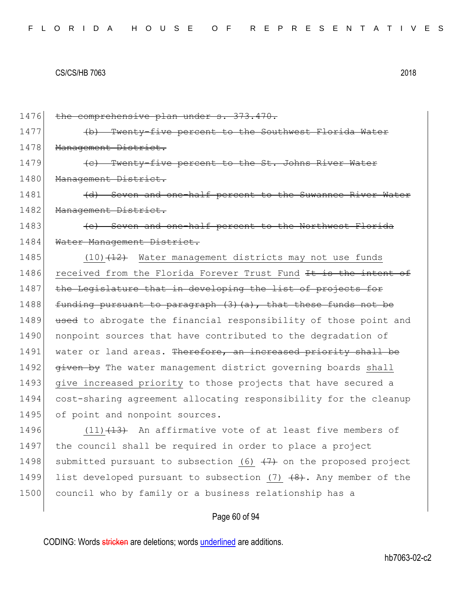1476 the comprehensive plan under s. 373.470. 1477 (b) Twenty-five percent to the Southwest Florida Water 1478 Management District. 1479 **(c)** Twenty-five percent to the St. Johns River Water 1480 Management District. 1481 (d) Seven and one-half percent to the Suwannee River Water 1482 Management District. 1483 **(e)** Seven and one-half percent to the Northwest Florida 1484 Water Management District. 1485  $(10)$   $(12)$  Water management districts may not use funds 1486 received from the Florida Forever Trust Fund It is the intent of 1487 the Legislature that in developing the list of projects for 1488 funding pursuant to paragraph  $(3)$   $(a)$ , that these funds not be 1489 used to abrogate the financial responsibility of those point and 1490 nonpoint sources that have contributed to the degradation of 1491 water or land areas. Therefore, an increased priority shall be 1492 given by The water management district governing boards shall 1493 give increased priority to those projects that have secured a 1494 cost-sharing agreement allocating responsibility for the cleanup 1495 of point and nonpoint sources. 1496  $(11)$   $(13)$  An affirmative vote of at least five members of 1497 the council shall be required in order to place a project 1498 submitted pursuant to subsection (6)  $(7)$  on the proposed project

1500 council who by family or a business relationship has a

## Page 60 of 94

1499 list developed pursuant to subsection  $(7)$   $(8)$ . Any member of the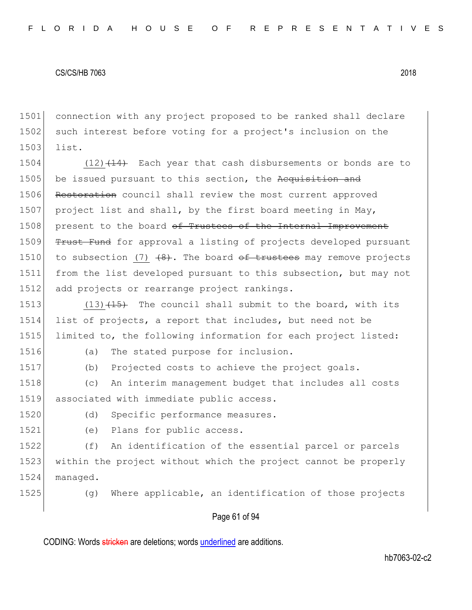1501 connection with any project proposed to be ranked shall declare 1502 such interest before voting for a project's inclusion on the 1503 list.

1504  $(12)$   $(14)$  Each year that cash disbursements or bonds are to 1505 be issued pursuant to this section, the Acquisition and 1506 Restoration council shall review the most current approved 1507 project list and shall, by the first board meeting in May, 1508 present to the board of Trustees of the Internal Improvement 1509 Trust Fund for approval a listing of projects developed pursuant 1510 to subsection (7)  $(8)$ . The board of trustees may remove projects 1511 from the list developed pursuant to this subsection, but may not 1512 add projects or rearrange project rankings.

1513  $(13)$   $(15)$  The council shall submit to the board, with its 1514 list of projects, a report that includes, but need not be 1515 limited to, the following information for each project listed:

1516 (a) The stated purpose for inclusion.

1517 (b) Projected costs to achieve the project goals.

1518 (c) An interim management budget that includes all costs 1519 associated with immediate public access.

1520 (d) Specific performance measures.

1521 (e) Plans for public access.

1522 (f) An identification of the essential parcel or parcels 1523 within the project without which the project cannot be properly 1524 managed.

1525 (g) Where applicable, an identification of those projects

## Page 61 of 94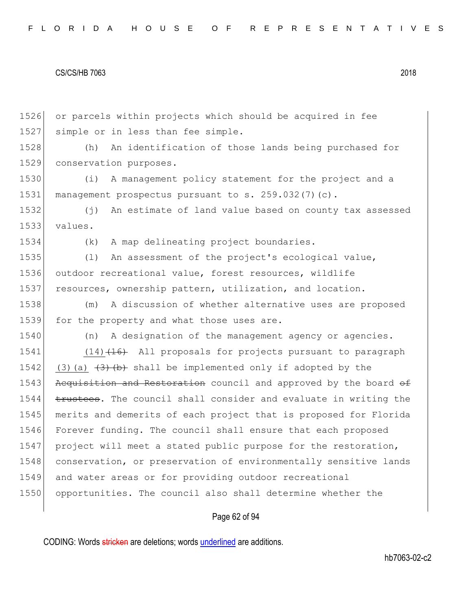1526 or parcels within projects which should be acquired in fee 1527 simple or in less than fee simple.

1528 (h) An identification of those lands being purchased for 1529 conservation purposes.

1530 (i) A management policy statement for the project and a 1531 management prospectus pursuant to s. 259.032(7)(c).

1532 (j) An estimate of land value based on county tax assessed 1533 values.

1534 (k) A map delineating project boundaries.

1535 (l) An assessment of the project's ecological value, 1536 outdoor recreational value, forest resources, wildlife 1537 resources, ownership pattern, utilization, and location.

1538 (m) A discussion of whether alternative uses are proposed 1539 for the property and what those uses are.

1540 (n) A designation of the management agency or agencies.

1541 (14) (14) All proposals for projects pursuant to paragraph 1542 (3)(a)  $(3)$  (b) shall be implemented only if adopted by the 1543 Acquisition and Restoration council and approved by the board of 1544 trustees. The council shall consider and evaluate in writing the 1545 merits and demerits of each project that is proposed for Florida 1546 Forever funding. The council shall ensure that each proposed 1547 project will meet a stated public purpose for the restoration, 1548 conservation, or preservation of environmentally sensitive lands 1549 and water areas or for providing outdoor recreational 1550 opportunities. The council also shall determine whether the

## Page 62 of 94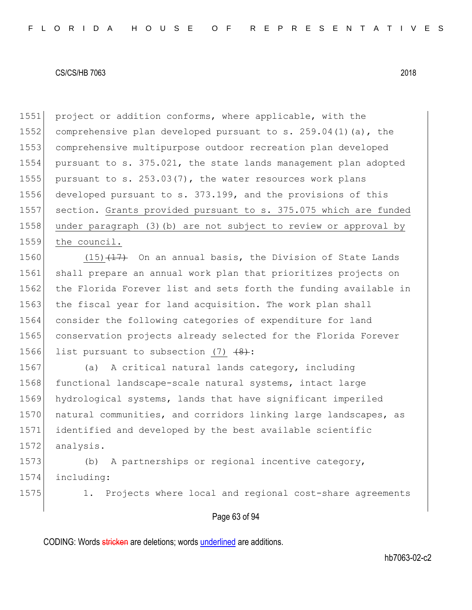1551 project or addition conforms, where applicable, with the 1552 comprehensive plan developed pursuant to s.  $259.04(1)(a)$ , the 1553 comprehensive multipurpose outdoor recreation plan developed 1554 pursuant to s. 375.021, the state lands management plan adopted 1555 pursuant to s.  $253.03(7)$ , the water resources work plans 1556 developed pursuant to s. 373.199, and the provisions of this 1557 section. Grants provided pursuant to s. 375.075 which are funded 1558 under paragraph (3)(b) are not subject to review or approval by 1559 the council.

1560  $(15)$   $(17)$  On an annual basis, the Division of State Lands 1561 shall prepare an annual work plan that prioritizes projects on 1562 the Florida Forever list and sets forth the funding available in 1563 the fiscal year for land acquisition. The work plan shall 1564 consider the following categories of expenditure for land 1565 conservation projects already selected for the Florida Forever 1566 list pursuant to subsection  $(7)$   $(8)$ :

1567 (a) A critical natural lands category, including 1568 functional landscape-scale natural systems, intact large 1569 hydrological systems, lands that have significant imperiled 1570 natural communities, and corridors linking large landscapes, as 1571 identified and developed by the best available scientific 1572 analysis.

1573 (b) A partnerships or regional incentive category, 1574 including:

1575 1. Projects where local and regional cost-share agreements

## Page 63 of 94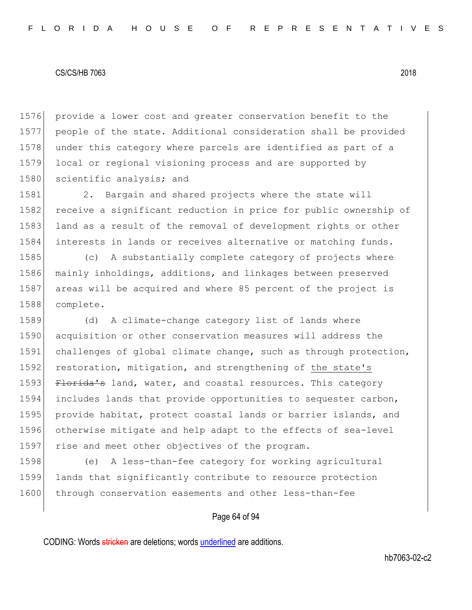1576 provide a lower cost and greater conservation benefit to the 1577 people of the state. Additional consideration shall be provided 1578 under this category where parcels are identified as part of a 1579 local or regional visioning process and are supported by 1580 scientific analysis; and

1581 2. Bargain and shared projects where the state will 1582 receive a significant reduction in price for public ownership of 1583 land as a result of the removal of development rights or other 1584 interests in lands or receives alternative or matching funds.

 (c) A substantially complete category of projects where mainly inholdings, additions, and linkages between preserved 1587 areas will be acquired and where 85 percent of the project is complete.

1589 (d) A climate-change category list of lands where 1590 acquisition or other conservation measures will address the 1591 challenges of global climate change, such as through protection, 1592 restoration, mitigation, and strengthening of the state's 1593 Florida's land, water, and coastal resources. This category 1594 includes lands that provide opportunities to sequester carbon, 1595 provide habitat, protect coastal lands or barrier islands, and 1596 otherwise mitigate and help adapt to the effects of sea-level 1597 rise and meet other objectives of the program.

1598 (e) A less-than-fee category for working agricultural 1599 lands that significantly contribute to resource protection 1600 through conservation easements and other less-than-fee

## Page 64 of 94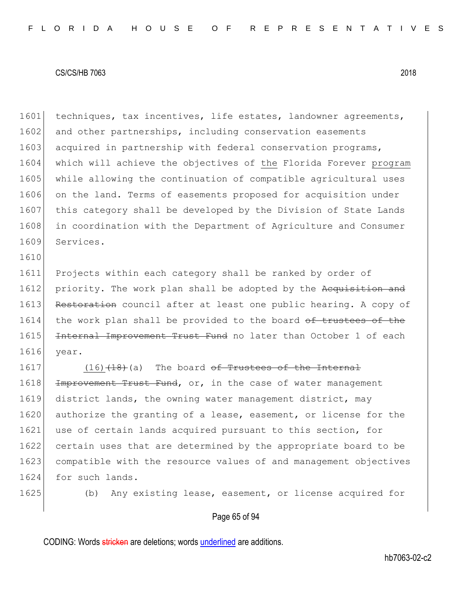1601 techniques, tax incentives, life estates, landowner agreements, 1602 and other partnerships, including conservation easements 1603 acquired in partnership with federal conservation programs, 1604 which will achieve the objectives of the Florida Forever program 1605 while allowing the continuation of compatible agricultural uses 1606 on the land. Terms of easements proposed for acquisition under 1607 this category shall be developed by the Division of State Lands 1608 in coordination with the Department of Agriculture and Consumer 1609 Services.

1611 Projects within each category shall be ranked by order of 1612 priority. The work plan shall be adopted by the Acquisition and 1613 Restoration council after at least one public hearing. A copy of 1614 the work plan shall be provided to the board of trustees of the 1615 Internal Improvement Trust Fund no later than October 1 of each 1616 year.

 $1617$  (16) $(18)$  (a) The board <del>of Trustees of the Internal</del> 1618 <del>Improvement Trust Fund</del>, or, in the case of water management 1619 district lands, the owning water management district, may 1620 authorize the granting of a lease, easement, or license for the 1621 use of certain lands acquired pursuant to this section, for 1622 certain uses that are determined by the appropriate board to be 1623 compatible with the resource values of and management objectives 1624 for such lands.

1610

1625 (b) Any existing lease, easement, or license acquired for

# Page 65 of 94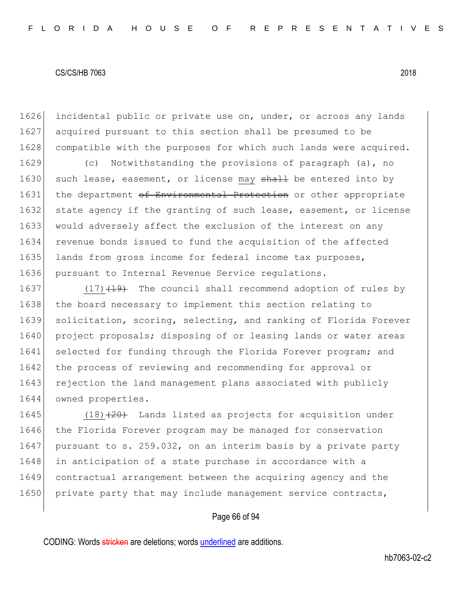1626 incidental public or private use on, under, or across any lands 1627 acquired pursuant to this section shall be presumed to be 1628 compatible with the purposes for which such lands were acquired.

1629 (c) Notwithstanding the provisions of paragraph (a), no 1630 such lease, easement, or license may  $shath$  be entered into by 1631 the department of Environmental Protection or other appropriate 1632 state agency if the granting of such lease, easement, or license 1633 would adversely affect the exclusion of the interest on any 1634 revenue bonds issued to fund the acquisition of the affected 1635 lands from gross income for federal income tax purposes, 1636 pursuant to Internal Revenue Service regulations.

1637 (17) $(17)$  The council shall recommend adoption of rules by 1638 the board necessary to implement this section relating to 1639 solicitation, scoring, selecting, and ranking of Florida Forever 1640 project proposals; disposing of or leasing lands or water areas 1641 selected for funding through the Florida Forever program; and 1642 the process of reviewing and recommending for approval or 1643 rejection the land management plans associated with publicly 1644 owned properties.

1645  $(18)$   $(20)$  Lands listed as projects for acquisition under 1646 the Florida Forever program may be managed for conservation 1647 pursuant to s. 259.032, on an interim basis by a private party 1648 in anticipation of a state purchase in accordance with a 1649 contractual arrangement between the acquiring agency and the 1650 private party that may include management service contracts,

## Page 66 of 94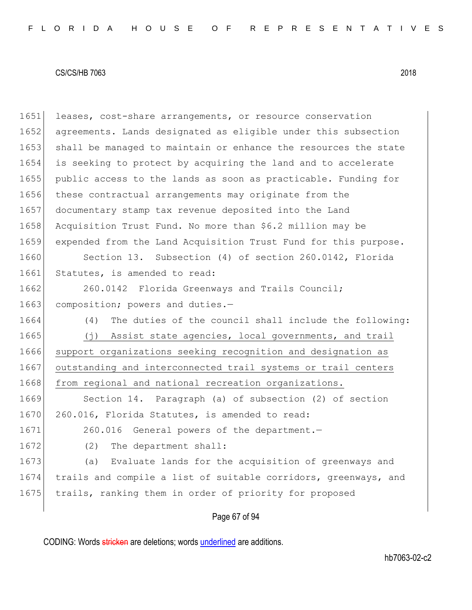1651 leases, cost-share arrangements, or resource conservation 1652 agreements. Lands designated as eligible under this subsection 1653 shall be managed to maintain or enhance the resources the state 1654 is seeking to protect by acquiring the land and to accelerate 1655 public access to the lands as soon as practicable. Funding for 1656 these contractual arrangements may originate from the 1657 documentary stamp tax revenue deposited into the Land 1658 Acquisition Trust Fund. No more than \$6.2 million may be 1659 expended from the Land Acquisition Trust Fund for this purpose. 1660 Section 13. Subsection (4) of section 260.0142, Florida 1661 Statutes, is amended to read: 1662 260.0142 Florida Greenways and Trails Council; 1663 composition; powers and duties.-1664 (4) The duties of the council shall include the following: 1665 (j) Assist state agencies, local governments, and trail 1666 support organizations seeking recognition and designation as 1667 outstanding and interconnected trail systems or trail centers 1668 from regional and national recreation organizations. 1669 Section 14. Paragraph (a) of subsection (2) of section 1670 260.016, Florida Statutes, is amended to read: 1671 260.016 General powers of the department. 1672 (2) The department shall: 1673 (a) Evaluate lands for the acquisition of greenways and 1674 trails and compile a list of suitable corridors, greenways, and 1675 trails, ranking them in order of priority for proposed

Page 67 of 94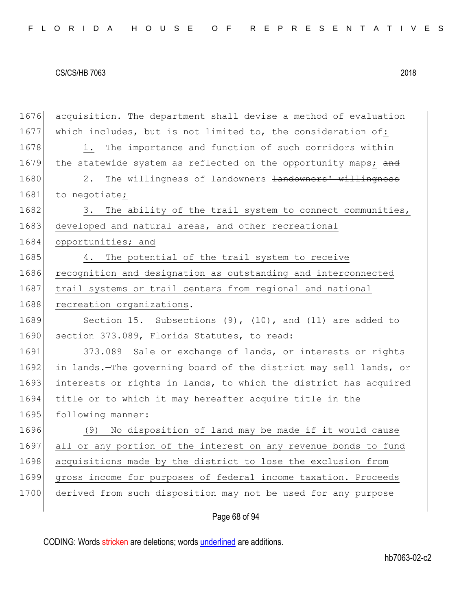1676 acquisition. The department shall devise a method of evaluation 1677 which includes, but is not limited to, the consideration of: 1678 1. The importance and function of such corridors within 1679 the statewide system as reflected on the opportunity maps; and 1680 2. The willingness of landowners <del>landowners' willingness</del> 1681 to negotiate; 1682 3. The ability of the trail system to connect communities, 1683 developed and natural areas, and other recreational 1684 opportunities; and 1685 4. The potential of the trail system to receive 1686 recognition and designation as outstanding and interconnected 1687 trail systems or trail centers from regional and national 1688 recreation organizations. 1689 Section 15. Subsections (9), (10), and (11) are added to 1690 section 373.089, Florida Statutes, to read: 1691 373.089 Sale or exchange of lands, or interests or rights 1692 in lands.—The governing board of the district may sell lands, or 1693 interests or rights in lands, to which the district has acquired 1694 title or to which it may hereafter acquire title in the 1695 following manner: 1696 (9) No disposition of land may be made if it would cause 1697 all or any portion of the interest on any revenue bonds to fund 1698 acquisitions made by the district to lose the exclusion from 1699 gross income for purposes of federal income taxation. Proceeds 1700 derived from such disposition may not be used for any purpose

# Page 68 of 94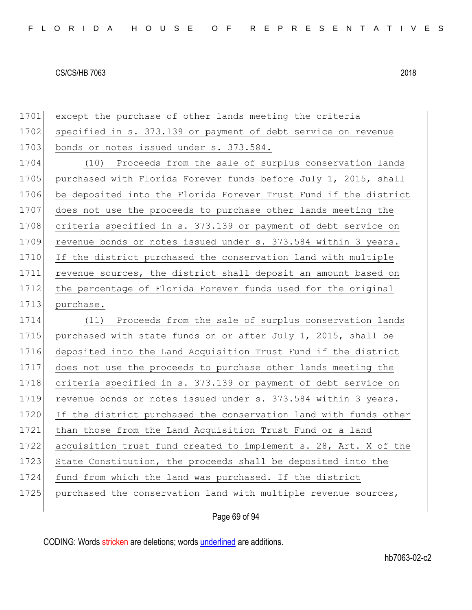| 1701 | except the purchase of other lands meeting the criteria          |
|------|------------------------------------------------------------------|
| 1702 | specified in s. 373.139 or payment of debt service on revenue    |
| 1703 | bonds or notes issued under s. 373.584.                          |
| 1704 | (10) Proceeds from the sale of surplus conservation lands        |
| 1705 | purchased with Florida Forever funds before July 1, 2015, shall  |
| 1706 | be deposited into the Florida Forever Trust Fund if the district |
| 1707 | does not use the proceeds to purchase other lands meeting the    |
| 1708 | criteria specified in s. 373.139 or payment of debt service on   |
| 1709 | revenue bonds or notes issued under s. 373.584 within 3 years.   |
| 1710 | If the district purchased the conservation land with multiple    |
| 1711 | revenue sources, the district shall deposit an amount based on   |
| 1712 | the percentage of Florida Forever funds used for the original    |
| 1713 | purchase.                                                        |
| 1714 | (11) Proceeds from the sale of surplus conservation lands        |
| 1715 | purchased with state funds on or after July 1, 2015, shall be    |
| 1716 | deposited into the Land Acquisition Trust Fund if the district   |
| 1717 | does not use the proceeds to purchase other lands meeting the    |
| 1718 | criteria specified in s. 373.139 or payment of debt service on   |
| 1719 | revenue bonds or notes issued under s. 373.584 within 3 years.   |
| 1720 | If the district purchased the conservation land with funds other |
| 1721 | than those from the Land Acquisition Trust Fund or a land        |
| 1722 | acquisition trust fund created to implement s. 28, Art. X of the |
| 1723 | State Constitution, the proceeds shall be deposited into the     |
| 1724 | fund from which the land was purchased. If the district          |
| 1725 | purchased the conservation land with multiple revenue sources,   |
|      |                                                                  |

Page 69 of 94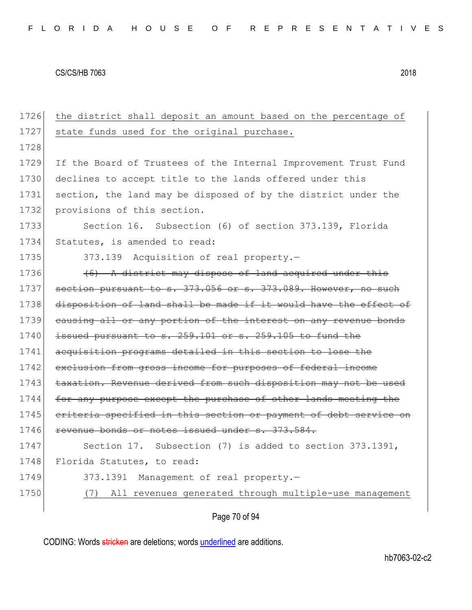1726 the district shall deposit an amount based on the percentage of 1727 state funds used for the original purchase. 1728 1729 If the Board of Trustees of the Internal Improvement Trust Fund 1730 declines to accept title to the lands offered under this 1731 section, the land may be disposed of by the district under the 1732 provisions of this section. 1733 Section 16. Subsection (6) of section 373.139, Florida 1734 Statutes, is amended to read: 1735 373.139 Acquisition of real property. 1736  $(6)$  A district may dispose of land acquired under this 1737 section pursuant to s. 373.056 or s. 373.089. However, no such 1738 disposition of land shall be made if it would have the effect of 1739 causing all or any portion of the interest on any revenue bonds  $1740$  issued pursuant to s. 259.101 or s. 259.105 to fund the 1741 acquisition programs detailed in this section to lose the 1742 exclusion from gross income for purposes of federal income 1743 taxation. Revenue derived from such disposition may not be used 1744 for any purpose except the purchase of other lands meeting the 1745 criteria specified in this section or payment of debt service on 1746 revenue bonds or notes issued under s. 373.584. 1747 Section 17. Subsection (7) is added to section 373.1391, 1748 Florida Statutes, to read: 1749 373.1391 Management of real property.-1750 (7) All revenues generated through multiple-use management

Page 70 of 94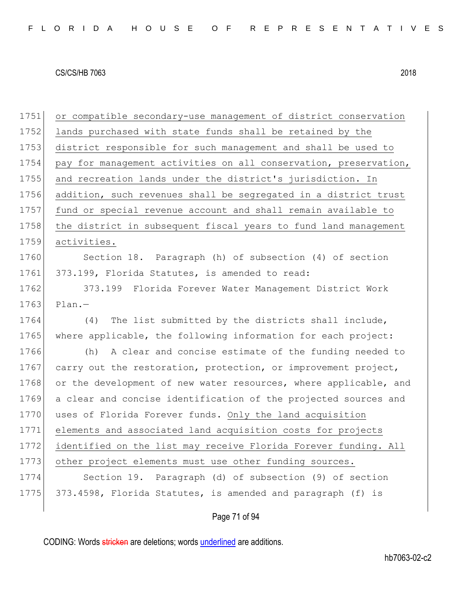1751 or compatible secondary-use management of district conservation 1752 lands purchased with state funds shall be retained by the 1753 district responsible for such management and shall be used to 1754 pay for management activities on all conservation, preservation, 1755 and recreation lands under the district's jurisdiction. In 1756 addition, such revenues shall be segregated in a district trust 1757 fund or special revenue account and shall remain available to 1758 the district in subsequent fiscal years to fund land management 1759 activities. 1760 Section 18. Paragraph (h) of subsection (4) of section 1761 373.199, Florida Statutes, is amended to read: 1762 373.199 Florida Forever Water Management District Work  $1763$  Plan.-1764 (4) The list submitted by the districts shall include, 1765 where applicable, the following information for each project: 1766 (h) A clear and concise estimate of the funding needed to 1767 carry out the restoration, protection, or improvement project, 1768 or the development of new water resources, where applicable, and 1769 a clear and concise identification of the projected sources and 1770 uses of Florida Forever funds. Only the land acquisition 1771 elements and associated land acquisition costs for projects 1772 identified on the list may receive Florida Forever funding. All 1773 other project elements must use other funding sources. 1774 Section 19. Paragraph (d) of subsection (9) of section 1775 373.4598, Florida Statutes, is amended and paragraph (f) is

Page 71 of 94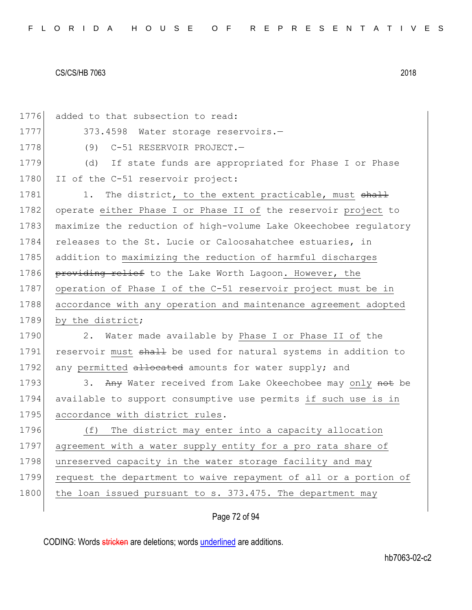1776 added to that subsection to read: 1777 373.4598 Water storage reservoirs. 1778 (9) C-51 RESERVOIR PROJECT. 1779 (d) If state funds are appropriated for Phase I or Phase 1780 II of the C-51 reservoir project: 1781 1. The district, to the extent practicable, must shall 1782 operate either Phase I or Phase II of the reservoir project to 1783 maximize the reduction of high-volume Lake Okeechobee regulatory 1784 releases to the St. Lucie or Caloosahatchee estuaries, in 1785 addition to maximizing the reduction of harmful discharges 1786 providing relief to the Lake Worth Lagoon. However, the 1787 operation of Phase I of the C-51 reservoir project must be in 1788 accordance with any operation and maintenance agreement adopted 1789 by the district; 1790 2. Water made available by Phase I or Phase II of the 1791 reservoir must shall be used for natural systems in addition to 1792 any permitted allocated amounts for water supply; and 1793 3. Any Water received from Lake Okeechobee may only not be 1794 available to support consumptive use permits if such use is in 1795 accordance with district rules. 1796 (f) The district may enter into a capacity allocation 1797 agreement with a water supply entity for a pro rata share of 1798 unreserved capacity in the water storage facility and may 1799 request the department to waive repayment of all or a portion of 1800 the loan issued pursuant to s. 373.475. The department may

# Page 72 of 94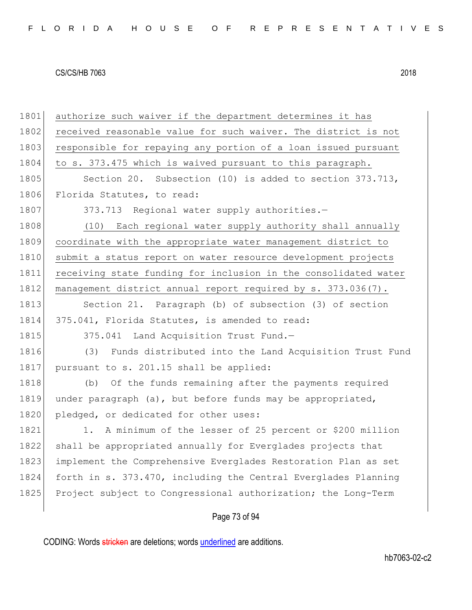| 1801 | authorize such waiver if the department determines it has       |
|------|-----------------------------------------------------------------|
| 1802 | received reasonable value for such waiver. The district is not  |
| 1803 | responsible for repaying any portion of a loan issued pursuant  |
| 1804 | to s. 373.475 which is waived pursuant to this paragraph.       |
| 1805 | Section 20. Subsection (10) is added to section 373.713,        |
| 1806 | Florida Statutes, to read:                                      |
| 1807 | 373.713 Regional water supply authorities.-                     |
| 1808 | (10) Each regional water supply authority shall annually        |
| 1809 | coordinate with the appropriate water management district to    |
| 1810 | submit a status report on water resource development projects   |
| 1811 | receiving state funding for inclusion in the consolidated water |
| 1812 | management district annual report required by s. 373.036(7).    |
| 1813 | Section 21. Paragraph (b) of subsection (3) of section          |
| 1814 | 375.041, Florida Statutes, is amended to read:                  |
| 1815 | 375.041 Land Acquisition Trust Fund.-                           |
| 1816 | Funds distributed into the Land Acquisition Trust Fund<br>(3)   |
| 1817 | pursuant to s. 201.15 shall be applied:                         |
| 1818 | (b) Of the funds remaining after the payments required          |
| 1819 | under paragraph (a), but before funds may be appropriated,      |
| 1820 | pledged, or dedicated for other uses:                           |
| 1821 | A minimum of the lesser of 25 percent or \$200 million<br>1.    |
| 1822 | shall be appropriated annually for Everglades projects that     |
| 1823 | implement the Comprehensive Everglades Restoration Plan as set  |
| 1824 | forth in s. 373.470, including the Central Everglades Planning  |
|      |                                                                 |
| 1825 | Project subject to Congressional authorization; the Long-Term   |

# Page 73 of 94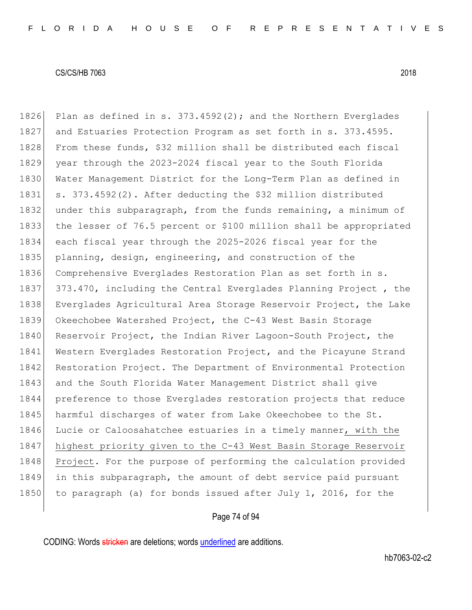1826 Plan as defined in s.  $373.4592(2)$ ; and the Northern Everglades 1827 and Estuaries Protection Program as set forth in s. 373.4595. 1828 From these funds, \$32 million shall be distributed each fiscal 1829 year through the 2023-2024 fiscal year to the South Florida 1830 Water Management District for the Long-Term Plan as defined in 1831 s. 373.4592(2). After deducting the \$32 million distributed 1832 under this subparagraph, from the funds remaining, a minimum of 1833 the lesser of 76.5 percent or \$100 million shall be appropriated 1834 each fiscal year through the 2025-2026 fiscal year for the

1835 planning, design, engineering, and construction of the 1836 Comprehensive Everglades Restoration Plan as set forth in s. 1837 373.470, including the Central Everglades Planning Project, the 1838 Everglades Agricultural Area Storage Reservoir Project, the Lake 1839 Okeechobee Watershed Project, the C-43 West Basin Storage 1840 Reservoir Project, the Indian River Lagoon-South Project, the 1841 Western Everglades Restoration Project, and the Picayune Strand 1842 Restoration Project. The Department of Environmental Protection 1843 and the South Florida Water Management District shall give 1844 preference to those Everglades restoration projects that reduce 1845 harmful discharges of water from Lake Okeechobee to the St. 1846 Lucie or Caloosahatchee estuaries in a timely manner, with the 1847 highest priority given to the C-43 West Basin Storage Reservoir 1848 Project. For the purpose of performing the calculation provided 1849 in this subparagraph, the amount of debt service paid pursuant 1850 to paragraph (a) for bonds issued after July 1, 2016, for the

#### Page 74 of 94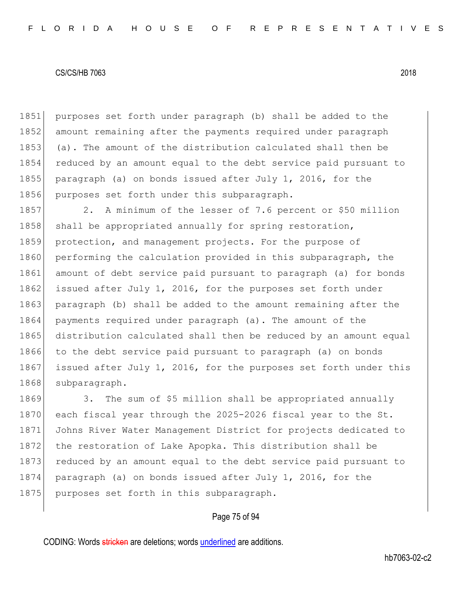purposes set forth under paragraph (b) shall be added to the 1852 amount remaining after the payments required under paragraph (a). The amount of the distribution calculated shall then be reduced by an amount equal to the debt service paid pursuant to paragraph (a) on bonds issued after July 1, 2016, for the 1856 purposes set forth under this subparagraph.

1857 2. A minimum of the lesser of 7.6 percent or \$50 million 1858 shall be appropriated annually for spring restoration, 1859 protection, and management projects. For the purpose of 1860 performing the calculation provided in this subparagraph, the 1861 amount of debt service paid pursuant to paragraph (a) for bonds 1862 issued after July 1, 2016, for the purposes set forth under 1863 paragraph (b) shall be added to the amount remaining after the 1864 payments required under paragraph (a). The amount of the 1865 distribution calculated shall then be reduced by an amount equal 1866 to the debt service paid pursuant to paragraph (a) on bonds 1867 issued after July 1, 2016, for the purposes set forth under this 1868 subparagraph.

1869 3. The sum of \$5 million shall be appropriated annually 1870 each fiscal year through the 2025-2026 fiscal year to the St. 1871 Johns River Water Management District for projects dedicated to 1872 the restoration of Lake Apopka. This distribution shall be 1873 reduced by an amount equal to the debt service paid pursuant to 1874 paragraph (a) on bonds issued after July 1, 2016, for the 1875 purposes set forth in this subparagraph.

## Page 75 of 94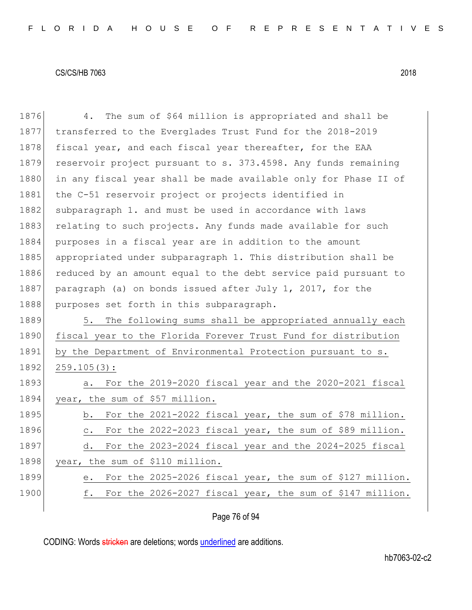1876 4. The sum of \$64 million is appropriated and shall be 1877 transferred to the Everglades Trust Fund for the 2018-2019 1878 fiscal year, and each fiscal year thereafter, for the EAA 1879 reservoir project pursuant to s. 373.4598. Any funds remaining 1880 in any fiscal year shall be made available only for Phase II of 1881 the C-51 reservoir project or projects identified in 1882 subparagraph 1. and must be used in accordance with laws 1883 relating to such projects. Any funds made available for such 1884 purposes in a fiscal year are in addition to the amount 1885 appropriated under subparagraph 1. This distribution shall be 1886 reduced by an amount equal to the debt service paid pursuant to 1887 paragraph (a) on bonds issued after July 1, 2017, for the 1888 purposes set forth in this subparagraph. 1889 5. The following sums shall be appropriated annually each 1890 fiscal year to the Florida Forever Trust Fund for distribution 1891 by the Department of Environmental Protection pursuant to s. 1892 259.105(3): 1893 a. For the 2019-2020 fiscal year and the 2020-2021 fiscal 1894 year, the sum of \$57 million. 1895 b. For the 2021-2022 fiscal year, the sum of \$78 million. 1896 c. For the 2022-2023 fiscal year, the sum of \$89 million. 1897 d. For the 2023-2024 fiscal year and the 2024-2025 fiscal 1898 year, the sum of \$110 million. 1899 e. For the 2025-2026 fiscal year, the sum of \$127 million. 1900 f. For the 2026-2027 fiscal year, the sum of \$147 million.

## Page 76 of 94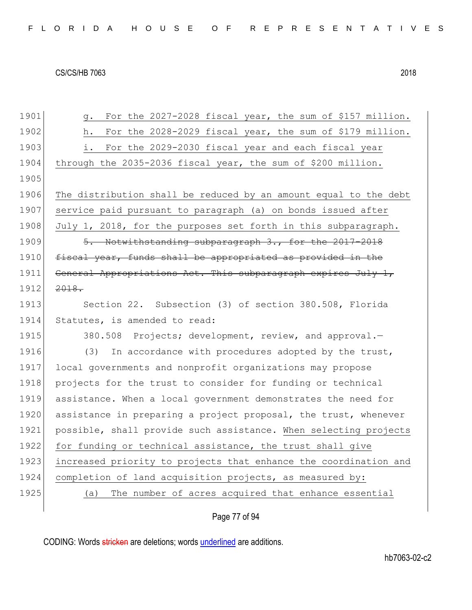| FLORIDA HOUSE OF REPRESENTATIVES |  |  |  |  |  |  |  |  |  |  |  |  |  |  |  |  |  |  |  |  |  |  |  |  |  |  |  |  |  |  |
|----------------------------------|--|--|--|--|--|--|--|--|--|--|--|--|--|--|--|--|--|--|--|--|--|--|--|--|--|--|--|--|--|--|
|----------------------------------|--|--|--|--|--|--|--|--|--|--|--|--|--|--|--|--|--|--|--|--|--|--|--|--|--|--|--|--|--|--|

| 1901 | For the 2027-2028 fiscal year, the sum of \$157 million.<br>q.   |
|------|------------------------------------------------------------------|
| 1902 | For the 2028-2029 fiscal year, the sum of \$179 million.<br>h.   |
| 1903 | For the 2029-2030 fiscal year and each fiscal year<br>i.         |
| 1904 | through the 2035-2036 fiscal year, the sum of \$200 million.     |
| 1905 |                                                                  |
| 1906 | The distribution shall be reduced by an amount equal to the debt |
| 1907 | service paid pursuant to paragraph (a) on bonds issued after     |
| 1908 | July 1, 2018, for the purposes set forth in this subparagraph.   |
| 1909 | 5. Notwithstanding subparagraph 3., for the 2017-2018            |
| 1910 | fiscal year, funds shall be appropriated as provided in the      |
| 1911 | General Appropriations Act. This subparagraph expires July 1,    |
| 1912 | 2018.                                                            |
| 1913 | Section 22. Subsection (3) of section 380.508, Florida           |
| 1914 | Statutes, is amended to read:                                    |
| 1915 | 380.508 Projects; development, review, and approval.-            |
| 1916 | In accordance with procedures adopted by the trust,<br>(3)       |
| 1917 | local governments and nonprofit organizations may propose        |
| 1918 | projects for the trust to consider for funding or technical      |
| 1919 | assistance. When a local government demonstrates the need for    |
| 1920 | assistance in preparing a project proposal, the trust, whenever  |
| 1921 | possible, shall provide such assistance. When selecting projects |
| 1922 | for funding or technical assistance, the trust shall give        |
| 1923 | increased priority to projects that enhance the coordination and |
| 1924 | completion of land acquisition projects, as measured by:         |
| 1925 | The number of acres acquired that enhance essential<br>(a)       |
|      |                                                                  |

# Page 77 of 94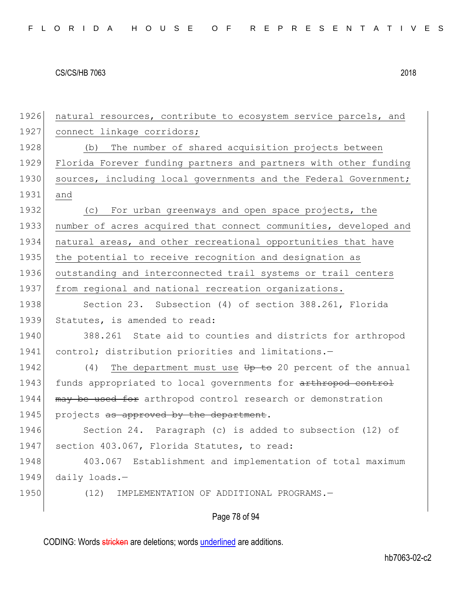|  |  |  |  |  |  |  |  | FLORIDA HOUSE OF REPRESENTATIVES |  |  |  |  |  |  |  |  |  |  |  |  |  |  |  |  |  |  |  |  |  |  |  |  |  |
|--|--|--|--|--|--|--|--|----------------------------------|--|--|--|--|--|--|--|--|--|--|--|--|--|--|--|--|--|--|--|--|--|--|--|--|--|
|--|--|--|--|--|--|--|--|----------------------------------|--|--|--|--|--|--|--|--|--|--|--|--|--|--|--|--|--|--|--|--|--|--|--|--|--|

| 1926 | natural resources, contribute to ecosystem service parcels, and         |
|------|-------------------------------------------------------------------------|
| 1927 | connect linkage corridors;                                              |
| 1928 | The number of shared acquisition projects between<br>(b)                |
| 1929 | Florida Forever funding partners and partners with other funding        |
| 1930 | sources, including local governments and the Federal Government;        |
| 1931 | and                                                                     |
| 1932 | (c) For urban greenways and open space projects, the                    |
| 1933 | number of acres acquired that connect communities, developed and        |
| 1934 | natural areas, and other recreational opportunities that have           |
| 1935 | the potential to receive recognition and designation as                 |
| 1936 | outstanding and interconnected trail systems or trail centers           |
| 1937 | from regional and national recreation organizations.                    |
| 1938 | Section 23. Subsection (4) of section 388.261, Florida                  |
| 1939 | Statutes, is amended to read:                                           |
| 1940 | 388.261 State aid to counties and districts for arthropod               |
| 1941 | control; distribution priorities and limitations.-                      |
| 1942 | (4) The department must use $\overline{tp}$ to 20 percent of the annual |
| 1943 | funds appropriated to local governments for arthropod control           |
| 1944 | may be used for arthropod control research or demonstration             |
| 1945 | projects as approved by the department.                                 |
| 1946 | Section 24. Paragraph (c) is added to subsection (12) of                |
| 1947 | section 403.067, Florida Statutes, to read:                             |
| 1948 | 403.067<br>Establishment and implementation of total maximum            |
| 1949 | daily loads.-                                                           |
| 1950 | (12)<br>IMPLEMENTATION OF ADDITIONAL PROGRAMS.-                         |
|      | Page 78 of 94                                                           |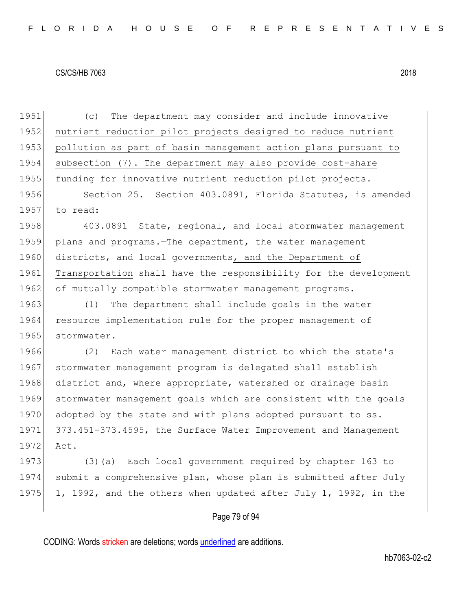1951 (c) The department may consider and include innovative 1952 nutrient reduction pilot projects designed to reduce nutrient 1953 pollution as part of basin management action plans pursuant to 1954 subsection (7). The department may also provide cost-share 1955 funding for innovative nutrient reduction pilot projects. 1956 Section 25. Section 403.0891, Florida Statutes, is amended 1957 to read: 1958 403.0891 State, regional, and local stormwater management 1959 plans and programs.—The department, the water management 1960 districts, and local governments, and the Department of 1961 Transportation shall have the responsibility for the development 1962 of mutually compatible stormwater management programs. 1963 (1) The department shall include goals in the water 1964 resource implementation rule for the proper management of 1965 stormwater. 1966 (2) Each water management district to which the state's 1967 stormwater management program is delegated shall establish 1968 district and, where appropriate, watershed or drainage basin 1969 stormwater management goals which are consistent with the goals 1970 adopted by the state and with plans adopted pursuant to ss. 1971 373.451-373.4595, the Surface Water Improvement and Management 1972 Act. 1973 (3)(a) Each local government required by chapter 163 to 1974 submit a comprehensive plan, whose plan is submitted after July 1975 1, 1992, and the others when updated after July 1, 1992, in the

## Page 79 of 94

CODING: Words stricken are deletions; words underlined are additions.

hb7063-02-c2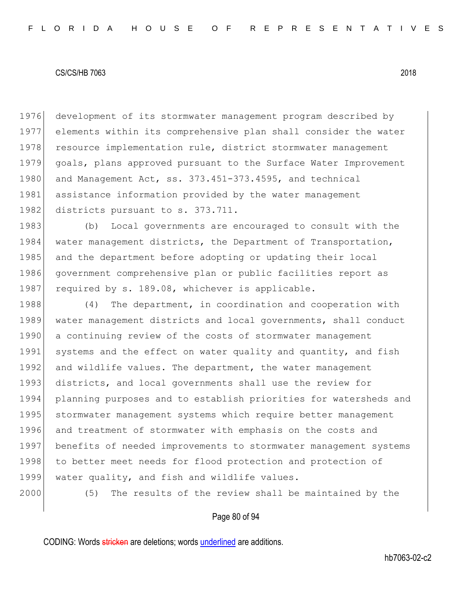1976 development of its stormwater management program described by 1977 elements within its comprehensive plan shall consider the water 1978 resource implementation rule, district stormwater management 1979 goals, plans approved pursuant to the Surface Water Improvement 1980 and Management Act, ss. 373.451-373.4595, and technical 1981 assistance information provided by the water management 1982 districts pursuant to s. 373.711.

1983 (b) Local governments are encouraged to consult with the 1984 water management districts, the Department of Transportation, 1985 and the department before adopting or updating their local 1986 government comprehensive plan or public facilities report as 1987 required by s. 189.08, whichever is applicable.

1988 (4) The department, in coordination and cooperation with 1989 water management districts and local governments, shall conduct 1990 a continuing review of the costs of stormwater management 1991 systems and the effect on water quality and quantity, and fish 1992 and wildlife values. The department, the water management 1993 districts, and local governments shall use the review for 1994 planning purposes and to establish priorities for watersheds and 1995 stormwater management systems which require better management 1996 and treatment of stormwater with emphasis on the costs and 1997 benefits of needed improvements to stormwater management systems 1998 to better meet needs for flood protection and protection of 1999 water quality, and fish and wildlife values.

2000 (5) The results of the review shall be maintained by the

## Page 80 of 94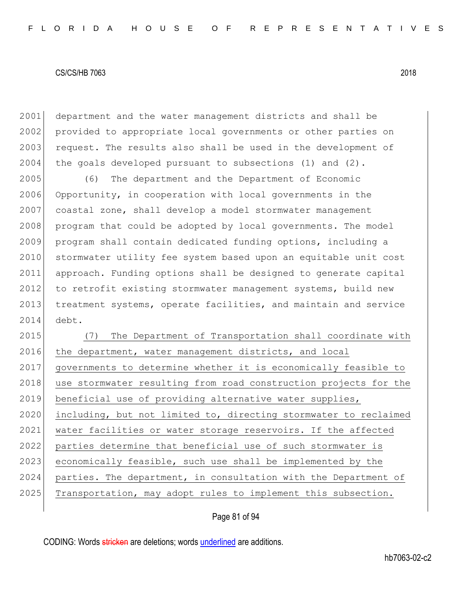2001 department and the water management districts and shall be 2002 provided to appropriate local governments or other parties on 2003 request. The results also shall be used in the development of  $2004$  the goals developed pursuant to subsections (1) and (2).

2005 (6) The department and the Department of Economic 2006 Opportunity, in cooperation with local governments in the 2007 coastal zone, shall develop a model stormwater management 2008 program that could be adopted by local governments. The model 2009 program shall contain dedicated funding options, including a 2010 stormwater utility fee system based upon an equitable unit cost 2011 approach. Funding options shall be designed to generate capital 2012 to retrofit existing stormwater management systems, build new 2013 treatment systems, operate facilities, and maintain and service 2014 debt.

2015 (7) The Department of Transportation shall coordinate with 2016 the department, water management districts, and local 2017 governments to determine whether it is economically feasible to 2018 use stormwater resulting from road construction projects for the 2019 beneficial use of providing alternative water supplies, 2020 including, but not limited to, directing stormwater to reclaimed 2021 water facilities or water storage reservoirs. If the affected 2022 parties determine that beneficial use of such stormwater is 2023 economically feasible, such use shall be implemented by the 2024 parties. The department, in consultation with the Department of 2025 Transportation, may adopt rules to implement this subsection.

## Page 81 of 94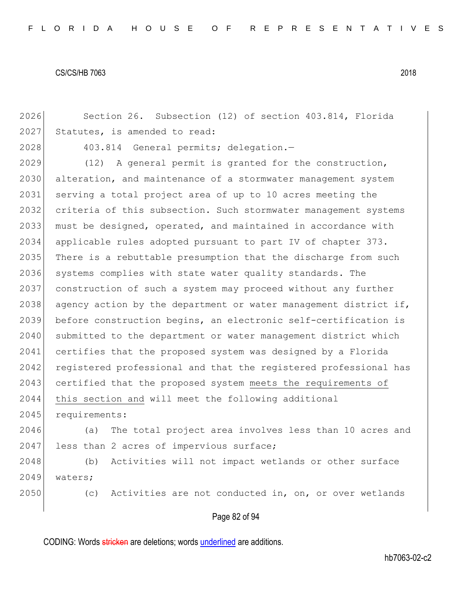2026 Section 26. Subsection (12) of section 403.814, Florida 2027 Statutes, is amended to read: 2028 403.814 General permits; delegation.-2029 (12) A general permit is granted for the construction, 2030 alteration, and maintenance of a stormwater management system 2031 serving a total project area of up to 10 acres meeting the 2032 criteria of this subsection. Such stormwater management systems 2033 must be designed, operated, and maintained in accordance with 2034 applicable rules adopted pursuant to part IV of chapter 373. 2035 There is a rebuttable presumption that the discharge from such 2036 systems complies with state water quality standards. The 2037 construction of such a system may proceed without any further 2038 agency action by the department or water management district if, 2039 before construction begins, an electronic self-certification is 2040 submitted to the department or water management district which 2041 certifies that the proposed system was designed by a Florida 2042 registered professional and that the registered professional has 2043 certified that the proposed system meets the requirements of 2044 this section and will meet the following additional 2045 requirements: 2046 (a) The total project area involves less than 10 acres and 2047 less than 2 acres of impervious surface; 2048 (b) Activities will not impact wetlands or other surface 2049 waters; 2050 (c) Activities are not conducted in, on, or over wetlands

## Page 82 of 94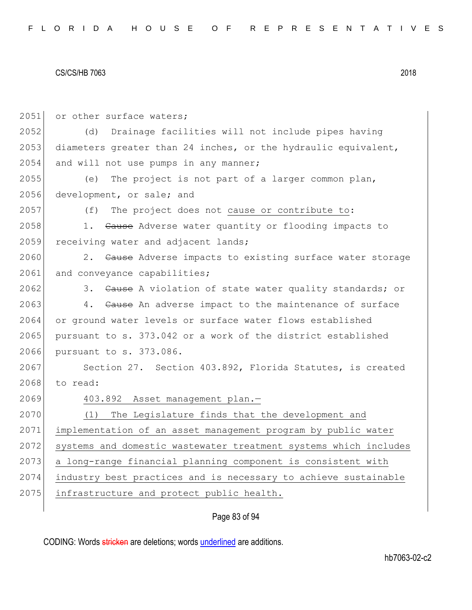| 2051 | or other surface waters;                                         |
|------|------------------------------------------------------------------|
| 2052 | Drainage facilities will not include pipes having<br>(d)         |
| 2053 | diameters greater than 24 inches, or the hydraulic equivalent,   |
| 2054 | and will not use pumps in any manner;                            |
| 2055 | The project is not part of a larger common plan,<br>(e)          |
| 2056 | development, or sale; and                                        |
| 2057 | The project does not cause or contribute to:<br>(f)              |
| 2058 | 1. Cause Adverse water quantity or flooding impacts to           |
| 2059 | receiving water and adjacent lands;                              |
| 2060 | 2. Cause Adverse impacts to existing surface water storage       |
| 2061 | and conveyance capabilities;                                     |
| 2062 | 3. Cause A violation of state water quality standards; or        |
| 2063 | 4. Cause An adverse impact to the maintenance of surface         |
| 2064 | or ground water levels or surface water flows established        |
| 2065 | pursuant to s. 373.042 or a work of the district established     |
| 2066 | pursuant to s. 373.086.                                          |
| 2067 | Section 27. Section 403.892, Florida Statutes, is created        |
| 2068 | to read:                                                         |
| 2069 | 403.892 Asset management plan.-                                  |
| 2070 | The Legislature finds that the development and<br>(1)            |
| 2071 | implementation of an asset management program by public water    |
| 2072 | systems and domestic wastewater treatment systems which includes |
| 2073 | a long-range financial planning component is consistent with     |
| 2074 | industry best practices and is necessary to achieve sustainable  |
| 2075 | infrastructure and protect public health.                        |
|      |                                                                  |

# Page 83 of 94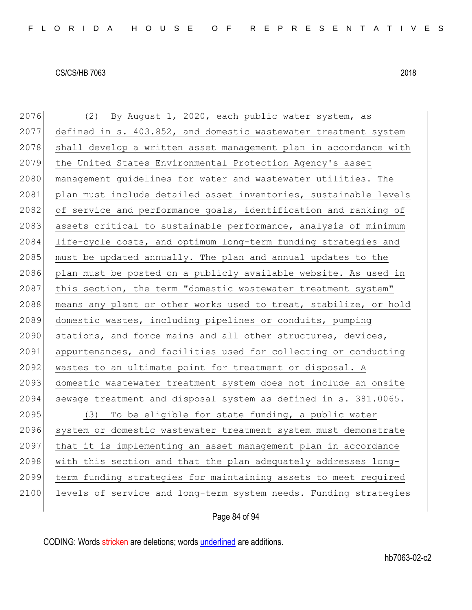| 2076 | (2) By August 1, 2020, each public water system, as              |
|------|------------------------------------------------------------------|
| 2077 | defined in s. 403.852, and domestic wastewater treatment system  |
| 2078 | shall develop a written asset management plan in accordance with |
| 2079 | the United States Environmental Protection Agency's asset        |
| 2080 | management guidelines for water and wastewater utilities. The    |
| 2081 | plan must include detailed asset inventories, sustainable levels |
| 2082 | of service and performance goals, identification and ranking of  |
| 2083 | assets critical to sustainable performance, analysis of minimum  |
| 2084 | life-cycle costs, and optimum long-term funding strategies and   |
| 2085 | must be updated annually. The plan and annual updates to the     |
| 2086 | plan must be posted on a publicly available website. As used in  |
| 2087 | this section, the term "domestic wastewater treatment system"    |
| 2088 | means any plant or other works used to treat, stabilize, or hold |
| 2089 | domestic wastes, including pipelines or conduits, pumping        |
| 2090 | stations, and force mains and all other structures, devices,     |
| 2091 | appurtenances, and facilities used for collecting or conducting  |
| 2092 | wastes to an ultimate point for treatment or disposal. A         |
| 2093 | domestic wastewater treatment system does not include an onsite  |
| 2094 | sewage treatment and disposal system as defined in s. 381.0065.  |
| 2095 | (3) To be eligible for state funding, a public water             |
| 2096 | system or domestic wastewater treatment system must demonstrate  |
| 2097 | that it is implementing an asset management plan in accordance   |
| 2098 | with this section and that the plan adequately addresses long-   |
| 2099 | term funding strategies for maintaining assets to meet required  |
| 2100 | levels of service and long-term system needs. Funding strategies |
|      |                                                                  |

## Page 84 of 94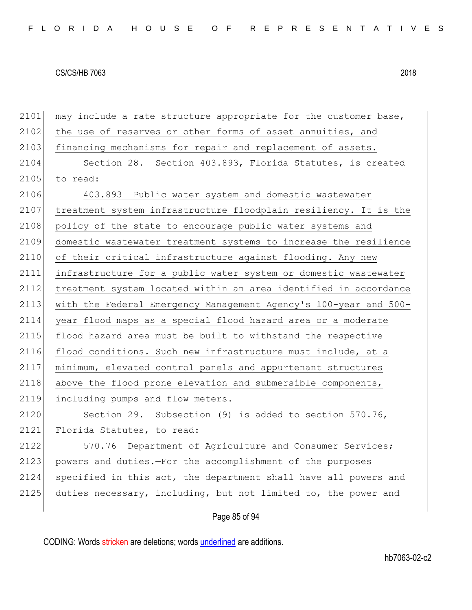2101 | may include a rate structure appropriate for the customer base,

| 2102 | the use of reserves or other forms of asset annuities, and       |
|------|------------------------------------------------------------------|
| 2103 | financing mechanisms for repair and replacement of assets.       |
| 2104 | Section 28. Section 403.893, Florida Statutes, is created        |
| 2105 | to read:                                                         |
| 2106 | 403.893 Public water system and domestic wastewater              |
| 2107 | treatment system infrastructure floodplain resiliency.-It is the |
| 2108 | policy of the state to encourage public water systems and        |
| 2109 | domestic wastewater treatment systems to increase the resilience |
| 2110 | of their critical infrastructure against flooding. Any new       |
| 2111 | infrastructure for a public water system or domestic wastewater  |
| 2112 | treatment system located within an area identified in accordance |
| 2113 | with the Federal Emergency Management Agency's 100-year and 500- |
| 2114 | year flood maps as a special flood hazard area or a moderate     |
| 2115 | flood hazard area must be built to withstand the respective      |
| 2116 | flood conditions. Such new infrastructure must include, at a     |
| 2117 | minimum, elevated control panels and appurtenant structures      |
| 2118 | above the flood prone elevation and submersible components,      |
| 2119 | including pumps and flow meters.                                 |
| 2120 | Section 29. Subsection (9) is added to section 570.76,           |
| 2121 | Florida Statutes, to read:                                       |
| 2122 | 570.76 Department of Agriculture and Consumer Services;          |
| 2123 | powers and duties.-For the accomplishment of the purposes        |
| 2124 | specified in this act, the department shall have all powers and  |
| 2125 | duties necessary, including, but not limited to, the power and   |
|      |                                                                  |

## Page 85 of 94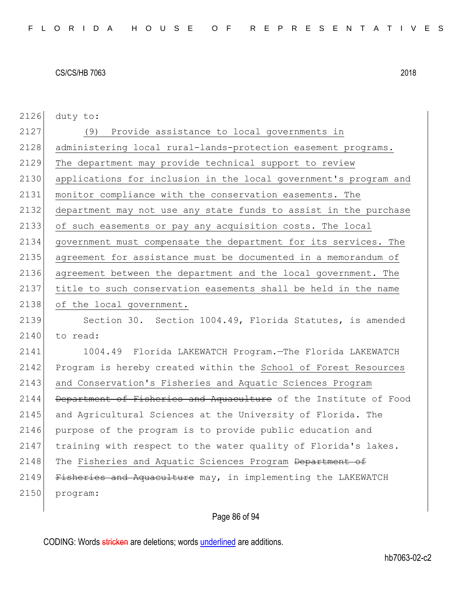| 2126 | duty to:                                                         |
|------|------------------------------------------------------------------|
| 2127 | Provide assistance to local governments in<br>(9)                |
| 2128 | administering local rural-lands-protection easement programs.    |
| 2129 | The department may provide technical support to review           |
| 2130 | applications for inclusion in the local government's program and |
| 2131 | monitor compliance with the conservation easements. The          |
| 2132 | department may not use any state funds to assist in the purchase |
| 2133 | of such easements or pay any acquisition costs. The local        |
| 2134 | government must compensate the department for its services. The  |
| 2135 | agreement for assistance must be documented in a memorandum of   |
| 2136 | agreement between the department and the local government. The   |
| 2137 | title to such conservation easements shall be held in the name   |
| 2138 | of the local government.                                         |
| 2139 | Section 30. Section 1004.49, Florida Statutes, is amended        |
| 2140 | to read:                                                         |
| 2141 | 1004.49 Florida LAKEWATCH Program. The Florida LAKEWATCH         |
| 2142 | Program is hereby created within the School of Forest Resources  |
| 2143 | and Conservation's Fisheries and Aquatic Sciences Program        |
| 2144 | Department of Fisheries and Aquaculture of the Institute of Food |
| 2145 | and Agricultural Sciences at the University of Florida. The      |
| 2146 | purpose of the program is to provide public education and        |
| 2147 | training with respect to the water quality of Florida's lakes.   |
| 2148 | The Fisheries and Aquatic Sciences Program Department of         |
| 2149 | Fisheries and Aquaculture may, in implementing the LAKEWATCH     |
| 2150 | program:                                                         |
|      |                                                                  |

## Page 86 of 94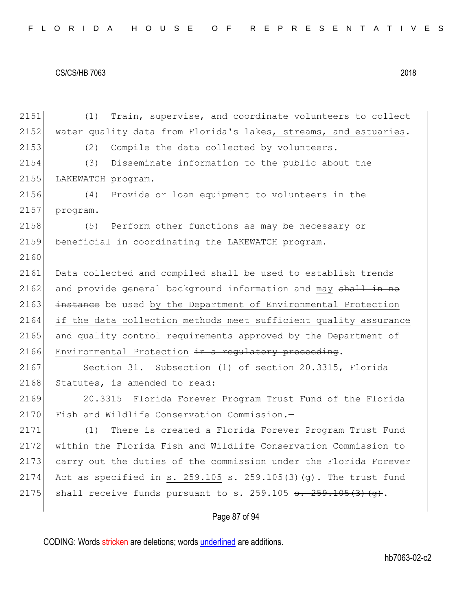2151 (1) Train, supervise, and coordinate volunteers to collect 2152 water quality data from Florida's lakes, streams, and estuaries. 2153 (2) Compile the data collected by volunteers. 2154 (3) Disseminate information to the public about the 2155 LAKEWATCH program. 2156 (4) Provide or loan equipment to volunteers in the 2157 program. 2158 (5) Perform other functions as may be necessary or 2159 beneficial in coordinating the LAKEWATCH program. 2160 2161 Data collected and compiled shall be used to establish trends 2162 and provide general background information and may shall in no 2163 instance be used by the Department of Environmental Protection 2164 if the data collection methods meet sufficient quality assurance 2165 and quality control requirements approved by the Department of 2166 Environmental Protection  $\frac{1}{2}$  regulatory proceeding. 2167 Section 31. Subsection (1) of section 20.3315, Florida 2168 Statutes, is amended to read: 2169 20.3315 Florida Forever Program Trust Fund of the Florida 2170 Fish and Wildlife Conservation Commission.-2171 (1) There is created a Florida Forever Program Trust Fund 2172 within the Florida Fish and Wildlife Conservation Commission to 2173 carry out the duties of the commission under the Florida Forever 2174 Act as specified in s. 259.105  $\frac{1}{5}$ . 259.105(3)(q). The trust fund 2175 shall receive funds pursuant to s. 259.105  $\frac{1}{5}$ . 259.105(3)(q).

## Page 87 of 94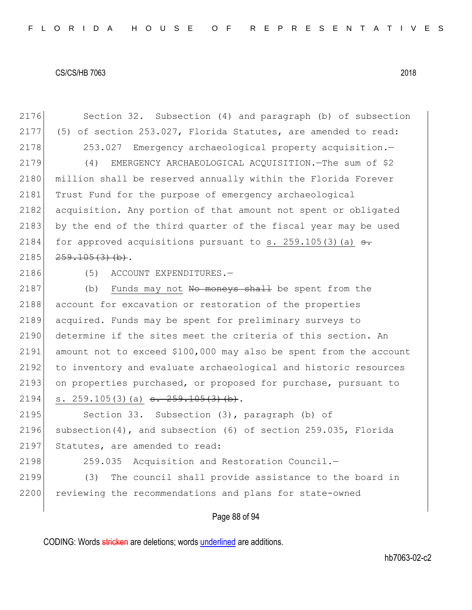2176 Section 32. Subsection (4) and paragraph (b) of subsection 2177 (5) of section 253.027, Florida Statutes, are amended to read: 2178 253.027 Emergency archaeological property acquisition.-2179 (4) EMERGENCY ARCHAEOLOGICAL ACOUISITION. The sum of \$2 2180 million shall be reserved annually within the Florida Forever 2181 Trust Fund for the purpose of emergency archaeological 2182 acquisition. Any portion of that amount not spent or obligated 2183 by the end of the third quarter of the fiscal year may be used 2184 for approved acquisitions pursuant to s. 259.105(3)(a)  $\epsilon$ .  $2185$   $259.105(3)$  (b). 2186 (5) ACCOUNT EXPENDITURES.-2187 (b) Funds may not No moneys shall be spent from the 2188 account for excavation or restoration of the properties 2189 acquired. Funds may be spent for preliminary surveys to 2190 determine if the sites meet the criteria of this section. An 2191 amount not to exceed \$100,000 may also be spent from the account 2192 to inventory and evaluate archaeological and historic resources 2193 on properties purchased, or proposed for purchase, pursuant to 2194 s. 259.105(3)(a)  $\frac{1}{2}$   $\frac{1}{2}$   $\frac{1}{2}$   $\frac{1}{2}$   $\frac{1}{2}$   $\frac{1}{2}$   $\frac{1}{2}$   $\frac{1}{2}$ 2195 Section 33. Subsection (3), paragraph (b) of 2196 subsection(4), and subsection (6) of section 259.035, Florida 2197 Statutes, are amended to read: 2198 259.035 Acquisition and Restoration Council. 2199 (3) The council shall provide assistance to the board in 2200 reviewing the recommendations and plans for state-owned

## Page 88 of 94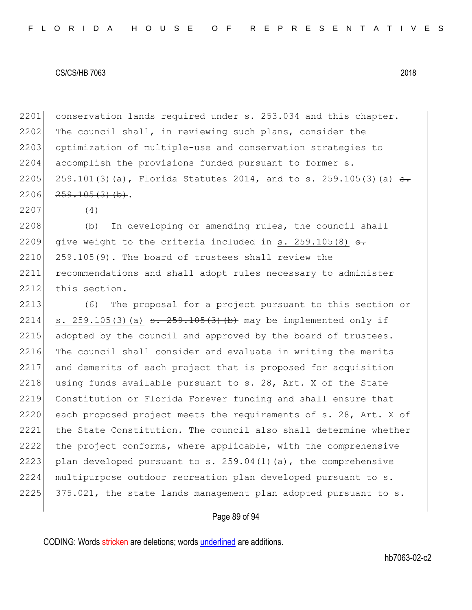2201 conservation lands required under s. 253.034 and this chapter. 2202 The council shall, in reviewing such plans, consider the 2203 optimization of multiple-use and conservation strategies to 2204 accomplish the provisions funded pursuant to former s. 2205 259.101(3)(a), Florida Statutes 2014, and to s. 259.105(3)(a)  $\frac{1}{2}$  $2206$   $259.105(3)$  (b).

2207 (4)

2208 (b) In developing or amending rules, the council shall 2209 give weight to the criteria included in s. 259.105(8)  $\epsilon$ .  $2210$   $259.105(9)$ . The board of trustees shall review the 2211 recommendations and shall adopt rules necessary to administer 2212 this section.

2213 (6) The proposal for a project pursuant to this section or 2214 s. 259.105(3)(a)  $\frac{1}{259.105(3)}$  (b) may be implemented only if 2215 adopted by the council and approved by the board of trustees. 2216 The council shall consider and evaluate in writing the merits 2217 and demerits of each project that is proposed for acquisition 2218 using funds available pursuant to s. 28, Art. X of the State 2219 Constitution or Florida Forever funding and shall ensure that 2220 each proposed project meets the requirements of s. 28, Art. X of 2221 the State Constitution. The council also shall determine whether 2222 the project conforms, where applicable, with the comprehensive 2223 plan developed pursuant to s. 259.04(1)(a), the comprehensive 2224 multipurpose outdoor recreation plan developed pursuant to s.  $2225$  375.021, the state lands management plan adopted pursuant to s.

## Page 89 of 94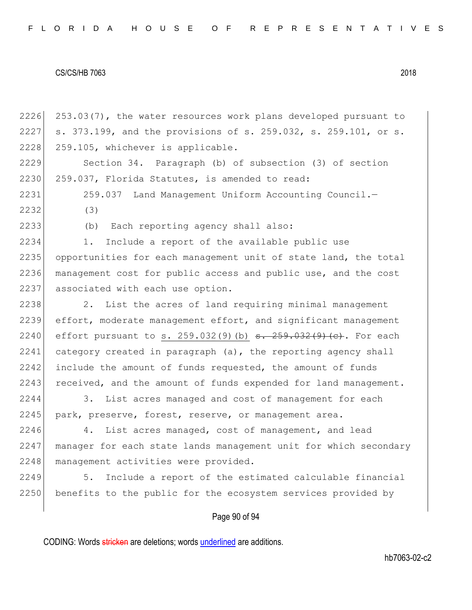2226 253.03(7), the water resources work plans developed pursuant to 2227 s. 373.199, and the provisions of s. 259.032, s. 259.101, or s. 2228 259.105, whichever is applicable. 2229 Section 34. Paragraph (b) of subsection (3) of section 2230 259.037, Florida Statutes, is amended to read: 2231 259.037 Land Management Uniform Accounting Council.— 2232 (3) 2233 (b) Each reporting agency shall also: 2234 1. Include a report of the available public use 2235 opportunities for each management unit of state land, the total 2236 management cost for public access and public use, and the cost 2237 associated with each use option. 2238 2. List the acres of land requiring minimal management 2239 effort, moderate management effort, and significant management 2240 effort pursuant to s. 259.032(9)(b)  $\frac{1}{100}$   $\frac{1}{100}$   $\frac{259.032(9)}{100}$  (e). For each  $2241$  category created in paragraph (a), the reporting agency shall 2242 include the amount of funds requested, the amount of funds 2243 received, and the amount of funds expended for land management. 2244 3. List acres managed and cost of management for each 2245 park, preserve, forest, reserve, or management area. 2246 4. List acres managed, cost of management, and lead 2247 manager for each state lands management unit for which secondary 2248 management activities were provided.

2249 5. Include a report of the estimated calculable financial 2250 benefits to the public for the ecosystem services provided by

## Page 90 of 94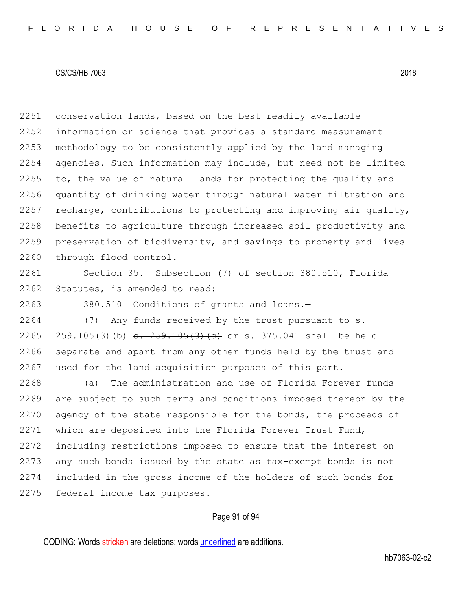2251 conservation lands, based on the best readily available 2252 information or science that provides a standard measurement 2253 | methodology to be consistently applied by the land managing 2254 agencies. Such information may include, but need not be limited 2255 to, the value of natural lands for protecting the quality and 2256 quantity of drinking water through natural water filtration and 2257 recharge, contributions to protecting and improving air quality, 2258 benefits to agriculture through increased soil productivity and 2259 preservation of biodiversity, and savings to property and lives 2260 through flood control.

2261 Section 35. Subsection (7) of section 380.510, Florida 2262 Statutes, is amended to read:

2263 380.510 Conditions of grants and loans.

2264 (7) Any funds received by the trust pursuant to s. 2265 259.105(3)(b)  $\frac{1}{5}$   $\frac{259.105(3)}{105}$  (c) or s. 375.041 shall be held 2266 separate and apart from any other funds held by the trust and 2267 used for the land acquisition purposes of this part.

2268 (a) The administration and use of Florida Forever funds 2269 are subject to such terms and conditions imposed thereon by the 2270 agency of the state responsible for the bonds, the proceeds of 2271 which are deposited into the Florida Forever Trust Fund, 2272 including restrictions imposed to ensure that the interest on 2273 any such bonds issued by the state as tax-exempt bonds is not 2274 included in the gross income of the holders of such bonds for 2275 federal income tax purposes.

#### Page 91 of 94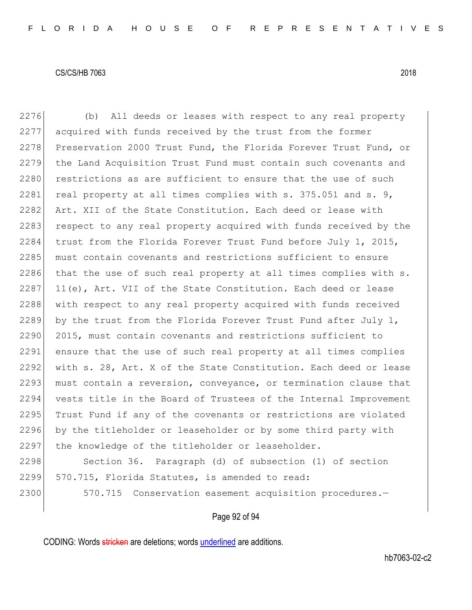2276 (b) All deeds or leases with respect to any real property 2277 acquired with funds received by the trust from the former 2278 Preservation 2000 Trust Fund, the Florida Forever Trust Fund, or 2279 the Land Acquisition Trust Fund must contain such covenants and 2280 restrictions as are sufficient to ensure that the use of such 2281 real property at all times complies with  $s. 375.051$  and  $s. 9$ , 2282 Art. XII of the State Constitution. Each deed or lease with 2283 respect to any real property acquired with funds received by the 2284 trust from the Florida Forever Trust Fund before July 1, 2015, 2285 must contain covenants and restrictions sufficient to ensure 2286 that the use of such real property at all times complies with s.  $2287$  11(e), Art. VII of the State Constitution. Each deed or lease 2288 with respect to any real property acquired with funds received 2289 by the trust from the Florida Forever Trust Fund after July 1, 2290 2015, must contain covenants and restrictions sufficient to 2291 ensure that the use of such real property at all times complies 2292 with s. 28, Art. X of the State Constitution. Each deed or lease 2293 must contain a reversion, conveyance, or termination clause that 2294 vests title in the Board of Trustees of the Internal Improvement 2295 Trust Fund if any of the covenants or restrictions are violated 2296 by the titleholder or leaseholder or by some third party with 2297 the knowledge of the titleholder or leaseholder.

2298 Section 36. Paragraph (d) of subsection (1) of section 2299 570.715, Florida Statutes, is amended to read:

2300 570.715 Conservation easement acquisition procedures.

#### Page 92 of 94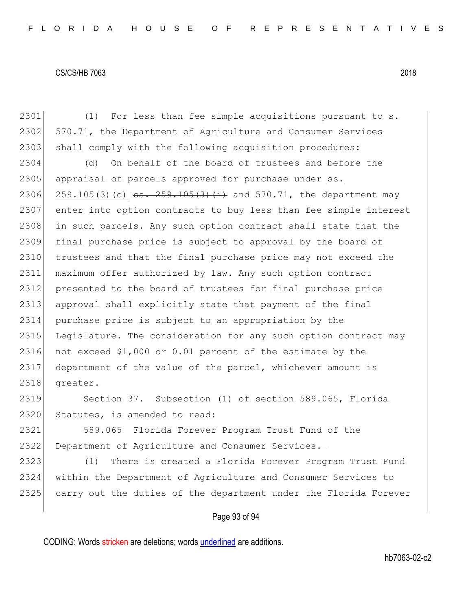2301 (1) For less than fee simple acquisitions pursuant to s. 2302 570.71, the Department of Agriculture and Consumer Services 2303 shall comply with the following acquisition procedures: 2304 (d) On behalf of the board of trustees and before the 2305 appraisal of parcels approved for purchase under ss. 2306 259.105(3)(c)  $s=$  259.105(3)(i) and 570.71, the department may 2307 enter into option contracts to buy less than fee simple interest 2308 in such parcels. Any such option contract shall state that the 2309 final purchase price is subject to approval by the board of 2310 trustees and that the final purchase price may not exceed the 2311 maximum offer authorized by law. Any such option contract 2312 presented to the board of trustees for final purchase price 2313 approval shall explicitly state that payment of the final 2314 purchase price is subject to an appropriation by the 2315 Legislature. The consideration for any such option contract may 2316 not exceed \$1,000 or 0.01 percent of the estimate by the 2317 department of the value of the parcel, whichever amount is 2318 greater. 2319 Section 37. Subsection (1) of section 589.065, Florida 2320 Statutes, is amended to read: 2321 589.065 Florida Forever Program Trust Fund of the 2322 Department of Agriculture and Consumer Services.—

2323 (1) There is created a Florida Forever Program Trust Fund 2324 within the Department of Agriculture and Consumer Services to 2325 carry out the duties of the department under the Florida Forever

#### Page 93 of 94